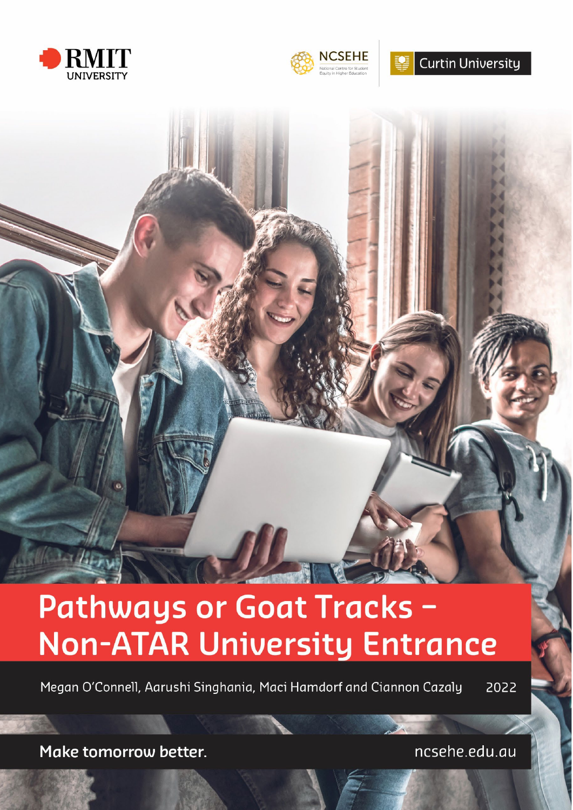



**Curtin University** 

# Pathways or Goat Tracks -**Non-ATAR University Entrance**

Megan O'Connell, Aarushi Singhania, Maci Hamdorf and Ciannon Cazaly 2022

Make tomorrow better.

ncsehe.edu.au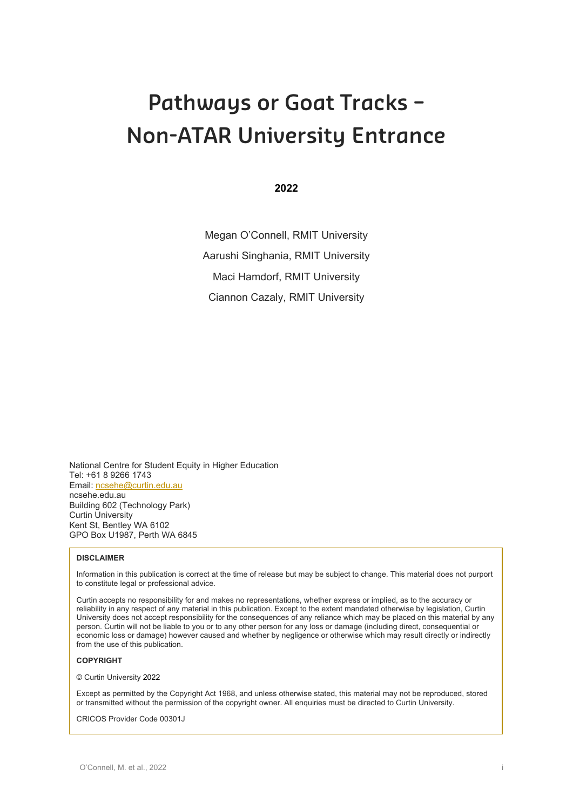# **Pathways or Goat Tracks – Non-ATAR University Entrance**

**2022**

Megan O'Connell, RMIT University Aarushi Singhania, RMIT University Maci Hamdorf, RMIT University Ciannon Cazaly, RMIT University

National Centre for Student Equity in Higher Education Tel: +61 8 9266 1743 Email: [ncsehe@curtin.edu.au](mailto:ncsehe@curtin.edu.au) ncsehe.edu.au Building 602 (Technology Park) Curtin University Kent St, Bentley WA 6102 GPO Box U1987, Perth WA 6845

#### **DISCLAIMER**

Information in this publication is correct at the time of release but may be subject to change. This material does not purport to constitute legal or professional advice.

Curtin accepts no responsibility for and makes no representations, whether express or implied, as to the accuracy or reliability in any respect of any material in this publication. Except to the extent mandated otherwise by legislation, Curtin University does not accept responsibility for the consequences of any reliance which may be placed on this material by any person. Curtin will not be liable to you or to any other person for any loss or damage (including direct, consequential or economic loss or damage) however caused and whether by negligence or otherwise which may result directly or indirectly from the use of this publication.

#### **COPYRIGHT**

© Curtin University 2022

Except as permitted by the Copyright Act 1968, and unless otherwise stated, this material may not be reproduced, stored or transmitted without the permission of the copyright owner. All enquiries must be directed to Curtin University.

CRICOS Provider Code 00301J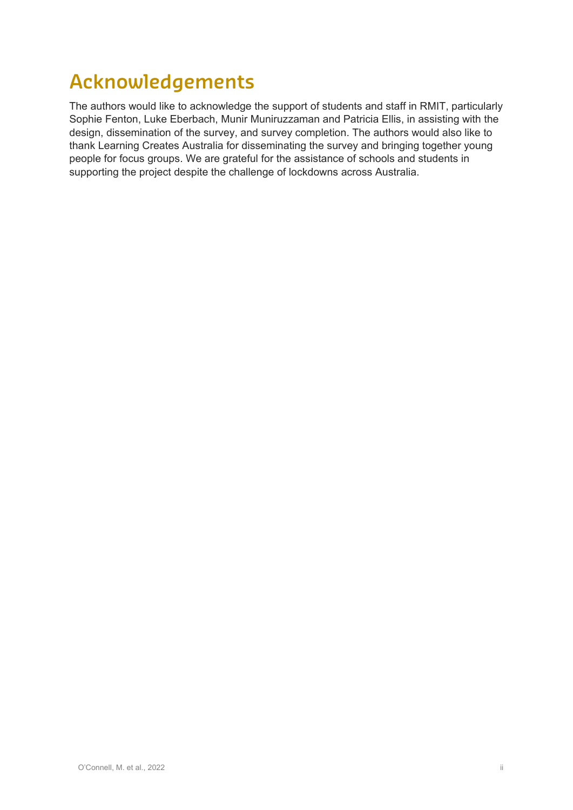# **Acknowledgements**

The authors would like to acknowledge the support of students and staff in RMIT, particularly Sophie Fenton, Luke Eberbach, Munir Muniruzzaman and Patricia Ellis, in assisting with the design, dissemination of the survey, and survey completion. The authors would also like to thank Learning Creates Australia for disseminating the survey and bringing together young people for focus groups. We are grateful for the assistance of schools and students in supporting the project despite the challenge of lockdowns across Australia.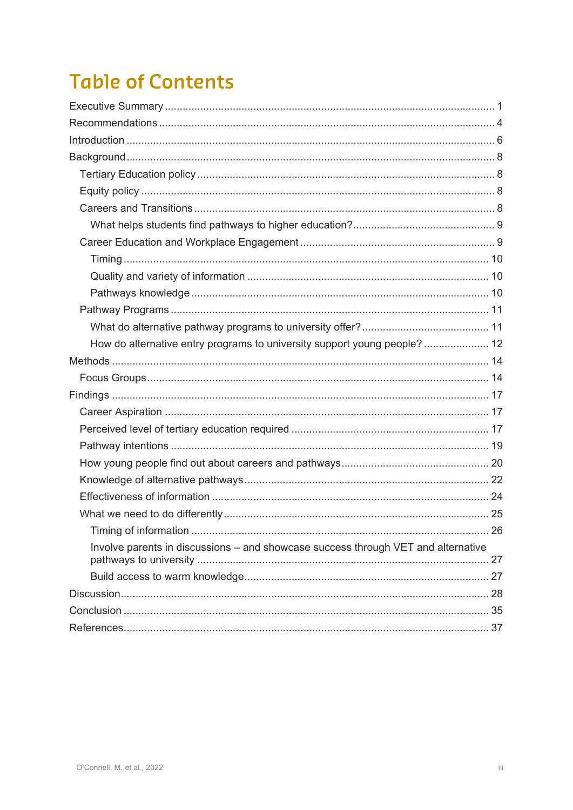# **Table of Contents**

| How do alternative entry programs to university support young people? 12<br>Involve parents in discussions - and showcase success through VET and alternative |  |
|---------------------------------------------------------------------------------------------------------------------------------------------------------------|--|
|                                                                                                                                                               |  |
|                                                                                                                                                               |  |
|                                                                                                                                                               |  |
|                                                                                                                                                               |  |
|                                                                                                                                                               |  |
|                                                                                                                                                               |  |
|                                                                                                                                                               |  |
|                                                                                                                                                               |  |
|                                                                                                                                                               |  |
|                                                                                                                                                               |  |
|                                                                                                                                                               |  |
|                                                                                                                                                               |  |
|                                                                                                                                                               |  |
|                                                                                                                                                               |  |
|                                                                                                                                                               |  |
|                                                                                                                                                               |  |
|                                                                                                                                                               |  |
|                                                                                                                                                               |  |
|                                                                                                                                                               |  |
|                                                                                                                                                               |  |
|                                                                                                                                                               |  |
|                                                                                                                                                               |  |
|                                                                                                                                                               |  |
|                                                                                                                                                               |  |
|                                                                                                                                                               |  |
|                                                                                                                                                               |  |
|                                                                                                                                                               |  |
|                                                                                                                                                               |  |
|                                                                                                                                                               |  |
|                                                                                                                                                               |  |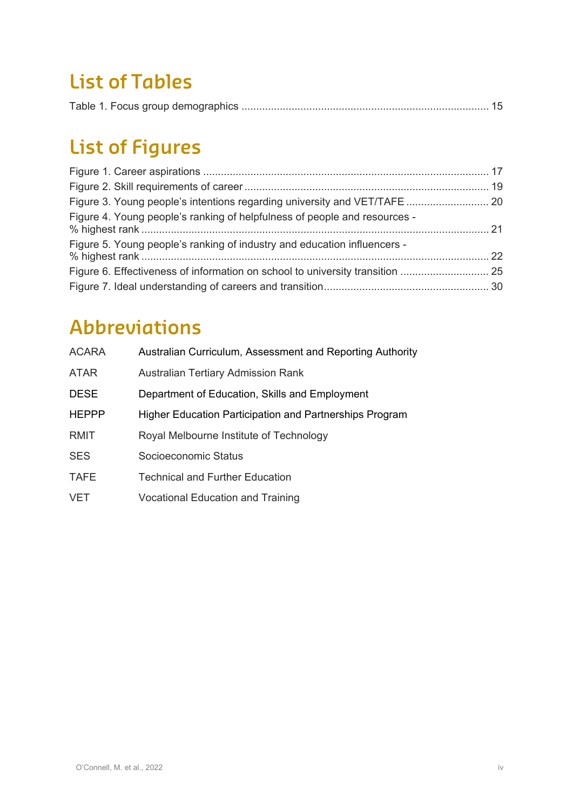### **List of Tables**

|--|--|

# **List of Figures**

| Figure 4. Young people's ranking of helpfulness of people and resources - |  |
|---------------------------------------------------------------------------|--|
| Figure 5. Young people's ranking of industry and education influencers -  |  |
|                                                                           |  |
|                                                                           |  |

# **Abbreviations**

| <b>ACARA</b> | Australian Curriculum, Assessment and Reporting Authority |
|--------------|-----------------------------------------------------------|
| <b>ATAR</b>  | <b>Australian Tertiary Admission Rank</b>                 |
| <b>DESE</b>  | Department of Education, Skills and Employment            |
| <b>HEPPP</b> | Higher Education Participation and Partnerships Program   |
| <b>RMIT</b>  | Royal Melbourne Institute of Technology                   |
| <b>SES</b>   | Socioeconomic Status                                      |
| <b>TAFE</b>  | <b>Technical and Further Education</b>                    |
| <b>VET</b>   | <b>Vocational Education and Training</b>                  |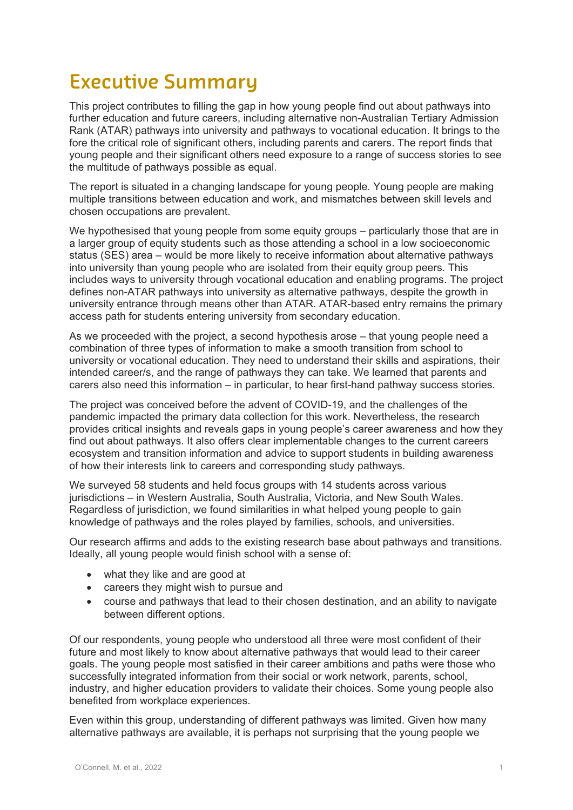### **Executive Summary**

This project contributes to filling the gap in how young people find out about pathways into further education and future careers, including alternative non-Australian Tertiary Admission Rank (ATAR) pathways into university and pathways to vocational education. It brings to the fore the critical role of significant others, including parents and carers. The report finds that young people and their significant others need exposure to a range of success stories to see the multitude of pathways possible as equal.

The report is situated in a changing landscape for young people. Young people are making multiple transitions between education and work, and mismatches between skill levels and chosen occupations are prevalent.

We hypothesised that young people from some equity groups – particularly those that are in a larger group of equity students such as those attending a school in a low socioeconomic status (SES) area – would be more likely to receive information about alternative pathways into university than young people who are isolated from their equity group peers. This includes ways to university through vocational education and enabling programs. The project defines non-ATAR pathways into university as alternative pathways, despite the growth in university entrance through means other than ATAR. ATAR-based entry remains the primary access path for students entering university from secondary education.

As we proceeded with the project, a second hypothesis arose – that young people need a combination of three types of information to make a smooth transition from school to university or vocational education. They need to understand their skills and aspirations, their intended career/s, and the range of pathways they can take. We learned that parents and carers also need this information – in particular, to hear first-hand pathway success stories.

The project was conceived before the advent of COVID-19, and the challenges of the pandemic impacted the primary data collection for this work. Nevertheless, the research provides critical insights and reveals gaps in young people's career awareness and how they find out about pathways. It also offers clear implementable changes to the current careers ecosystem and transition information and advice to support students in building awareness of how their interests link to careers and corresponding study pathways.

We surveyed 58 students and held focus groups with 14 students across various jurisdictions – in Western Australia, South Australia, Victoria, and New South Wales. Regardless of jurisdiction, we found similarities in what helped young people to gain knowledge of pathways and the roles played by families, schools, and universities.

Our research affirms and adds to the existing research base about pathways and transitions. Ideally, all young people would finish school with a sense of:

- what they like and are good at
- careers they might wish to pursue and
- course and pathways that lead to their chosen destination, and an ability to navigate between different options.

Of our respondents, young people who understood all three were most confident of their future and most likely to know about alternative pathways that would lead to their career goals. The young people most satisfied in their career ambitions and paths were those who successfully integrated information from their social or work network, parents, school, industry, and higher education providers to validate their choices. Some young people also benefited from workplace experiences.

Even within this group, understanding of different pathways was limited. Given how many alternative pathways are available, it is perhaps not surprising that the young people we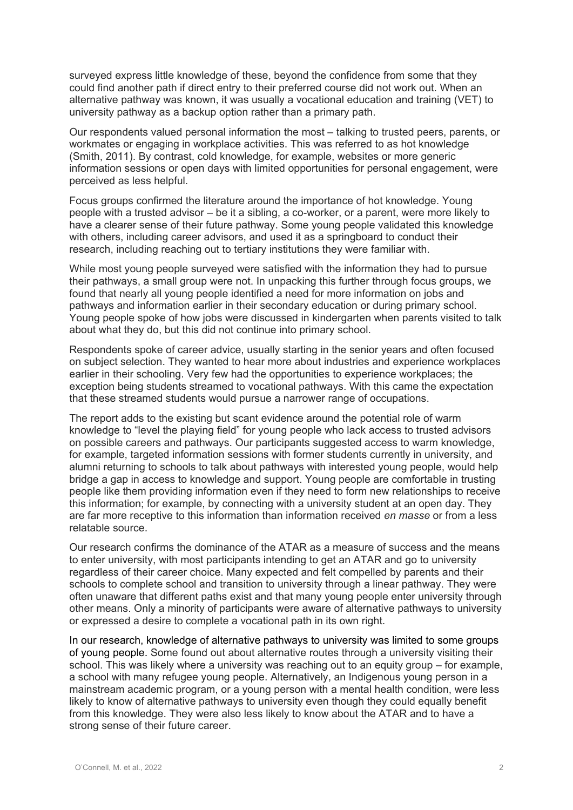surveyed express little knowledge of these, beyond the confidence from some that they could find another path if direct entry to their preferred course did not work out. When an alternative pathway was known, it was usually a vocational education and training (VET) to university pathway as a backup option rather than a primary path.

Our respondents valued personal information the most – talking to trusted peers, parents, or workmates or engaging in workplace activities. This was referred to as hot knowledge (Smith, 2011). By contrast, cold knowledge, for example, websites or more generic information sessions or open days with limited opportunities for personal engagement, were perceived as less helpful.

Focus groups confirmed the literature around the importance of hot knowledge. Young people with a trusted advisor – be it a sibling, a co-worker, or a parent, were more likely to have a clearer sense of their future pathway. Some young people validated this knowledge with others, including career advisors, and used it as a springboard to conduct their research, including reaching out to tertiary institutions they were familiar with.

While most young people surveyed were satisfied with the information they had to pursue their pathways, a small group were not. In unpacking this further through focus groups, we found that nearly all young people identified a need for more information on jobs and pathways and information earlier in their secondary education or during primary school. Young people spoke of how jobs were discussed in kindergarten when parents visited to talk about what they do, but this did not continue into primary school.

Respondents spoke of career advice, usually starting in the senior years and often focused on subject selection. They wanted to hear more about industries and experience workplaces earlier in their schooling. Very few had the opportunities to experience workplaces; the exception being students streamed to vocational pathways. With this came the expectation that these streamed students would pursue a narrower range of occupations.

The report adds to the existing but scant evidence around the potential role of warm knowledge to "level the playing field" for young people who lack access to trusted advisors on possible careers and pathways. Our participants suggested access to warm knowledge, for example, targeted information sessions with former students currently in university, and alumni returning to schools to talk about pathways with interested young people, would help bridge a gap in access to knowledge and support. Young people are comfortable in trusting people like them providing information even if they need to form new relationships to receive this information; for example, by connecting with a university student at an open day. They are far more receptive to this information than information received *en masse* or from a less relatable source.

Our research confirms the dominance of the ATAR as a measure of success and the means to enter university, with most participants intending to get an ATAR and go to university regardless of their career choice. Many expected and felt compelled by parents and their schools to complete school and transition to university through a linear pathway. They were often unaware that different paths exist and that many young people enter university through other means. Only a minority of participants were aware of alternative pathways to university or expressed a desire to complete a vocational path in its own right.

In our research, knowledge of alternative pathways to university was limited to some groups of young people. Some found out about alternative routes through a university visiting their school. This was likely where a university was reaching out to an equity group – for example, a school with many refugee young people. Alternatively, an Indigenous young person in a mainstream academic program, or a young person with a mental health condition, were less likely to know of alternative pathways to university even though they could equally benefit from this knowledge. They were also less likely to know about the ATAR and to have a strong sense of their future career.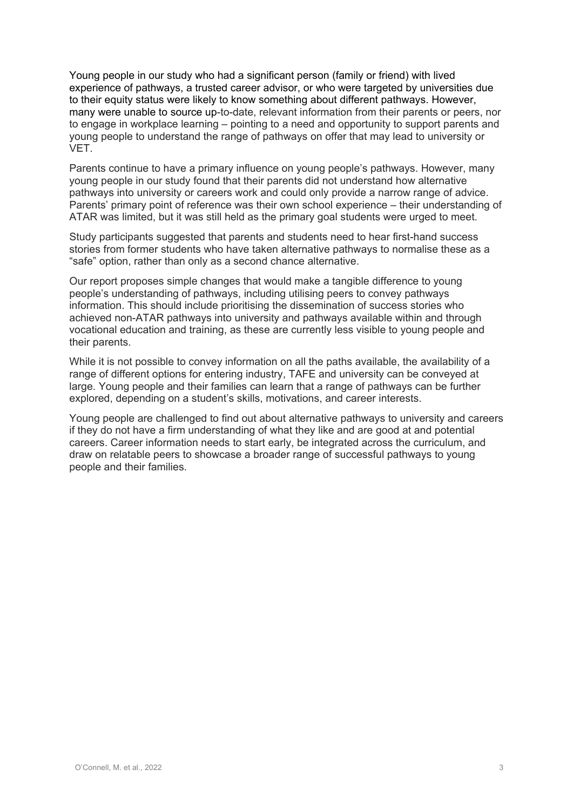Young people in our study who had a significant person (family or friend) with lived experience of pathways, a trusted career advisor, or who were targeted by universities due to their equity status were likely to know something about different pathways. However, many were unable to source up-to-date, relevant information from their parents or peers, nor to engage in workplace learning – pointing to a need and opportunity to support parents and young people to understand the range of pathways on offer that may lead to university or **VFT.** 

Parents continue to have a primary influence on young people's pathways. However, many young people in our study found that their parents did not understand how alternative pathways into university or careers work and could only provide a narrow range of advice. Parents' primary point of reference was their own school experience – their understanding of ATAR was limited, but it was still held as the primary goal students were urged to meet.

Study participants suggested that parents and students need to hear first-hand success stories from former students who have taken alternative pathways to normalise these as a "safe" option, rather than only as a second chance alternative.

Our report proposes simple changes that would make a tangible difference to young people's understanding of pathways, including utilising peers to convey pathways information. This should include prioritising the dissemination of success stories who achieved non-ATAR pathways into university and pathways available within and through vocational education and training, as these are currently less visible to young people and their parents.

While it is not possible to convey information on all the paths available, the availability of a range of different options for entering industry, TAFE and university can be conveyed at large. Young people and their families can learn that a range of pathways can be further explored, depending on a student's skills, motivations, and career interests.

Young people are challenged to find out about alternative pathways to university and careers if they do not have a firm understanding of what they like and are good at and potential careers. Career information needs to start early, be integrated across the curriculum, and draw on relatable peers to showcase a broader range of successful pathways to young people and their families.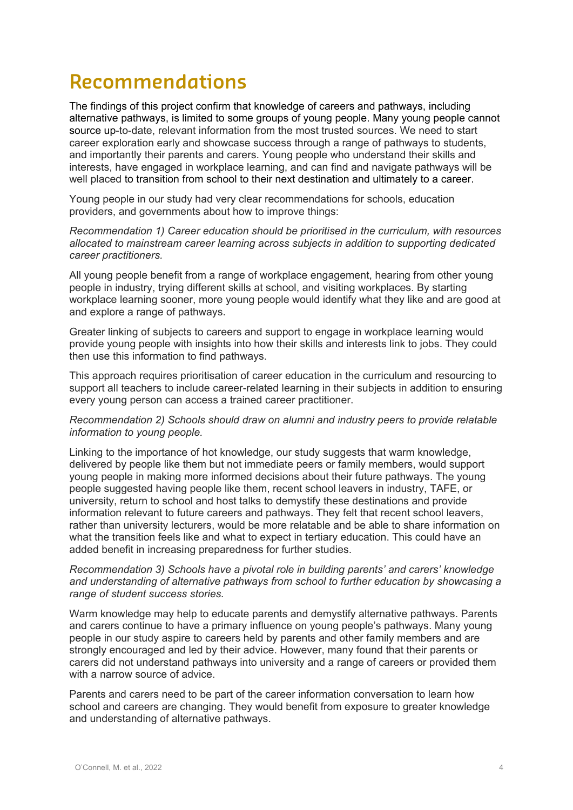### **Recommendations**

The findings of this project confirm that knowledge of careers and pathways, including alternative pathways, is limited to some groups of young people. Many young people cannot source up-to-date, relevant information from the most trusted sources. We need to start career exploration early and showcase success through a range of pathways to students, and importantly their parents and carers. Young people who understand their skills and interests, have engaged in workplace learning, and can find and navigate pathways will be well placed to transition from school to their next destination and ultimately to a career.

Young people in our study had very clear recommendations for schools, education providers, and governments about how to improve things:

*Recommendation 1) Career education should be prioritised in the curriculum, with resources allocated to mainstream career learning across subjects in addition to supporting dedicated career practitioners.*

All young people benefit from a range of workplace engagement, hearing from other young people in industry, trying different skills at school, and visiting workplaces. By starting workplace learning sooner, more young people would identify what they like and are good at and explore a range of pathways.

Greater linking of subjects to careers and support to engage in workplace learning would provide young people with insights into how their skills and interests link to jobs. They could then use this information to find pathways.

This approach requires prioritisation of career education in the curriculum and resourcing to support all teachers to include career-related learning in their subjects in addition to ensuring every young person can access a trained career practitioner.

#### *Recommendation 2) Schools should draw on alumni and industry peers to provide relatable information to young people.*

Linking to the importance of hot knowledge, our study suggests that warm knowledge, delivered by people like them but not immediate peers or family members, would support young people in making more informed decisions about their future pathways. The young people suggested having people like them, recent school leavers in industry, TAFE, or university, return to school and host talks to demystify these destinations and provide information relevant to future careers and pathways. They felt that recent school leavers, rather than university lecturers, would be more relatable and be able to share information on what the transition feels like and what to expect in tertiary education. This could have an added benefit in increasing preparedness for further studies.

#### *Recommendation 3) Schools have a pivotal role in building parents' and carers' knowledge and understanding of alternative pathways from school to further education by showcasing a range of student success stories.*

Warm knowledge may help to educate parents and demystify alternative pathways. Parents and carers continue to have a primary influence on young people's pathways. Many young people in our study aspire to careers held by parents and other family members and are strongly encouraged and led by their advice. However, many found that their parents or carers did not understand pathways into university and a range of careers or provided them with a narrow source of advice.

Parents and carers need to be part of the career information conversation to learn how school and careers are changing. They would benefit from exposure to greater knowledge and understanding of alternative pathways.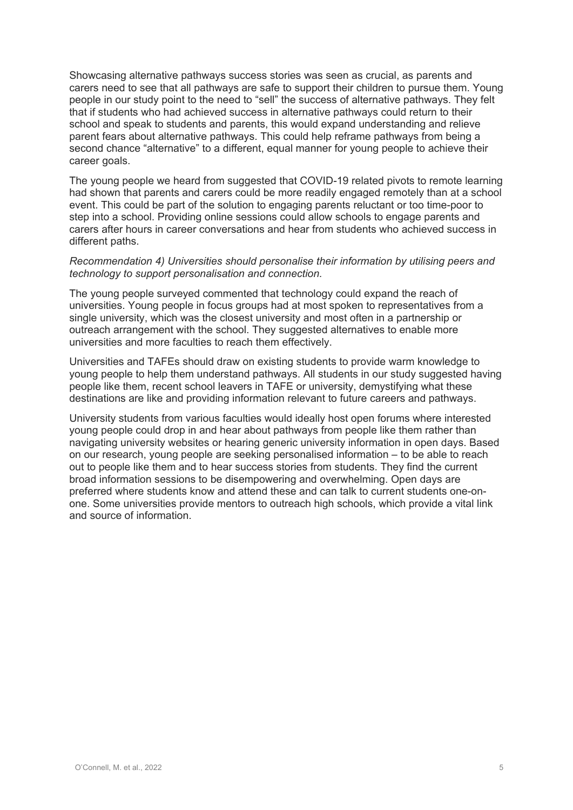Showcasing alternative pathways success stories was seen as crucial, as parents and carers need to see that all pathways are safe to support their children to pursue them. Young people in our study point to the need to "sell" the success of alternative pathways. They felt that if students who had achieved success in alternative pathways could return to their school and speak to students and parents, this would expand understanding and relieve parent fears about alternative pathways. This could help reframe pathways from being a second chance "alternative" to a different, equal manner for young people to achieve their career goals.

The young people we heard from suggested that COVID-19 related pivots to remote learning had shown that parents and carers could be more readily engaged remotely than at a school event. This could be part of the solution to engaging parents reluctant or too time-poor to step into a school. Providing online sessions could allow schools to engage parents and carers after hours in career conversations and hear from students who achieved success in different paths.

#### *Recommendation 4) Universities should personalise their information by utilising peers and technology to support personalisation and connection.*

The young people surveyed commented that technology could expand the reach of universities. Young people in focus groups had at most spoken to representatives from a single university, which was the closest university and most often in a partnership or outreach arrangement with the school. They suggested alternatives to enable more universities and more faculties to reach them effectively.

Universities and TAFEs should draw on existing students to provide warm knowledge to young people to help them understand pathways. All students in our study suggested having people like them, recent school leavers in TAFE or university, demystifying what these destinations are like and providing information relevant to future careers and pathways.

University students from various faculties would ideally host open forums where interested young people could drop in and hear about pathways from people like them rather than navigating university websites or hearing generic university information in open days. Based on our research, young people are seeking personalised information – to be able to reach out to people like them and to hear success stories from students. They find the current broad information sessions to be disempowering and overwhelming. Open days are preferred where students know and attend these and can talk to current students one-onone. Some universities provide mentors to outreach high schools, which provide a vital link and source of information.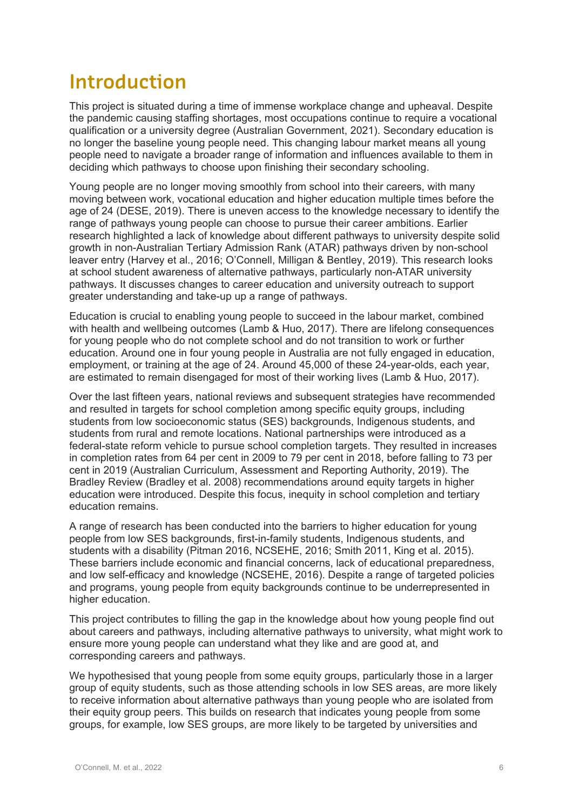### **Introduction**

This project is situated during a time of immense workplace change and upheaval. Despite the pandemic causing staffing shortages, most occupations continue to require a vocational qualification or a university degree (Australian Government, 2021). Secondary education is no longer the baseline young people need. This changing labour market means all young people need to navigate a broader range of information and influences available to them in deciding which pathways to choose upon finishing their secondary schooling.

Young people are no longer moving smoothly from school into their careers, with many moving between work, vocational education and higher education multiple times before the age of 24 (DESE, 2019). There is uneven access to the knowledge necessary to identify the range of pathways young people can choose to pursue their career ambitions. Earlier research highlighted a lack of knowledge about different pathways to university despite solid growth in non-Australian Tertiary Admission Rank (ATAR) pathways driven by non-school leaver entry (Harvey et al., 2016; O'Connell, Milligan & Bentley, 2019). This research looks at school student awareness of alternative pathways, particularly non-ATAR university pathways. It discusses changes to career education and university outreach to support greater understanding and take-up up a range of pathways.

Education is crucial to enabling young people to succeed in the labour market, combined with health and wellbeing outcomes (Lamb & Huo, 2017). There are lifelong consequences for young people who do not complete school and do not transition to work or further education. Around one in four young people in Australia are not fully engaged in education, employment, or training at the age of 24. Around 45,000 of these 24-year-olds, each year, are estimated to remain disengaged for most of their working lives (Lamb & Huo, 2017).

Over the last fifteen years, national reviews and subsequent strategies have recommended and resulted in targets for school completion among specific equity groups, including students from low socioeconomic status (SES) backgrounds, Indigenous students, and students from rural and remote locations. National partnerships were introduced as a federal-state reform vehicle to pursue school completion targets. They resulted in increases in completion rates from 64 per cent in 2009 to 79 per cent in 2018, before falling to 73 per cent in 2019 (Australian Curriculum, Assessment and Reporting Authority, 2019). The Bradley Review (Bradley et al. 2008) recommendations around equity targets in higher education were introduced. Despite this focus, inequity in school completion and tertiary education remains.

A range of research has been conducted into the barriers to higher education for young people from low SES backgrounds, first-in-family students, Indigenous students, and students with a disability (Pitman 2016, NCSEHE, 2016; Smith 2011, King et al. 2015). These barriers include economic and financial concerns, lack of educational preparedness, and low self-efficacy and knowledge (NCSEHE, 2016). Despite a range of targeted policies and programs, young people from equity backgrounds continue to be underrepresented in higher education.

This project contributes to filling the gap in the knowledge about how young people find out about careers and pathways, including alternative pathways to university, what might work to ensure more young people can understand what they like and are good at, and corresponding careers and pathways.

We hypothesised that young people from some equity groups, particularly those in a larger group of equity students, such as those attending schools in low SES areas, are more likely to receive information about alternative pathways than young people who are isolated from their equity group peers. This builds on research that indicates young people from some groups, for example, low SES groups, are more likely to be targeted by universities and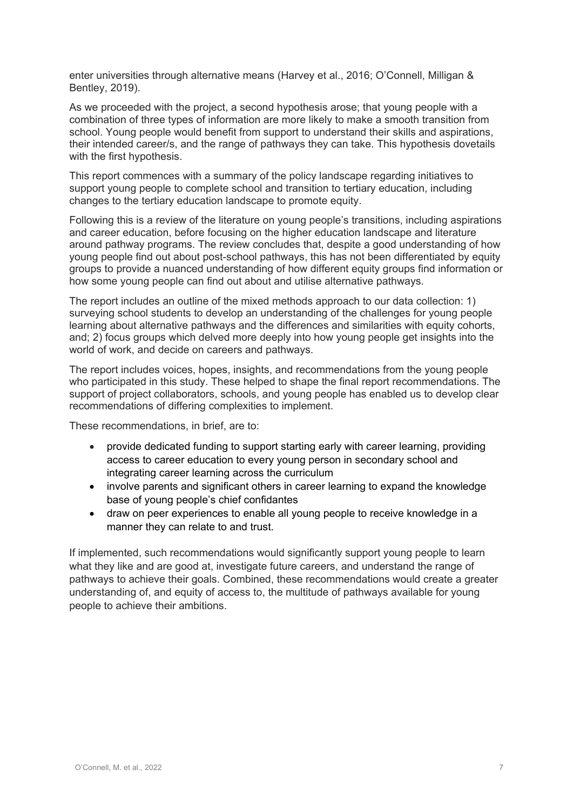enter universities through alternative means (Harvey et al., 2016; O'Connell, Milligan & Bentley, 2019).

As we proceeded with the project, a second hypothesis arose; that young people with a combination of three types of information are more likely to make a smooth transition from school. Young people would benefit from support to understand their skills and aspirations, their intended career/s, and the range of pathways they can take. This hypothesis dovetails with the first hypothesis.

This report commences with a summary of the policy landscape regarding initiatives to support young people to complete school and transition to tertiary education, including changes to the tertiary education landscape to promote equity.

Following this is a review of the literature on young people's transitions, including aspirations and career education, before focusing on the higher education landscape and literature around pathway programs. The review concludes that, despite a good understanding of how young people find out about post-school pathways, this has not been differentiated by equity groups to provide a nuanced understanding of how different equity groups find information or how some young people can find out about and utilise alternative pathways.

The report includes an outline of the mixed methods approach to our data collection: 1) surveying school students to develop an understanding of the challenges for young people learning about alternative pathways and the differences and similarities with equity cohorts, and; 2) focus groups which delved more deeply into how young people get insights into the world of work, and decide on careers and pathways.

The report includes voices, hopes, insights, and recommendations from the young people who participated in this study. These helped to shape the final report recommendations. The support of project collaborators, schools, and young people has enabled us to develop clear recommendations of differing complexities to implement.

These recommendations, in brief, are to:

- provide dedicated funding to support starting early with career learning, providing access to career education to every young person in secondary school and integrating career learning across the curriculum
- involve parents and significant others in career learning to expand the knowledge base of young people's chief confidantes
- draw on peer experiences to enable all young people to receive knowledge in a manner they can relate to and trust.

If implemented, such recommendations would significantly support young people to learn what they like and are good at, investigate future careers, and understand the range of pathways to achieve their goals. Combined, these recommendations would create a greater understanding of, and equity of access to, the multitude of pathways available for young people to achieve their ambitions.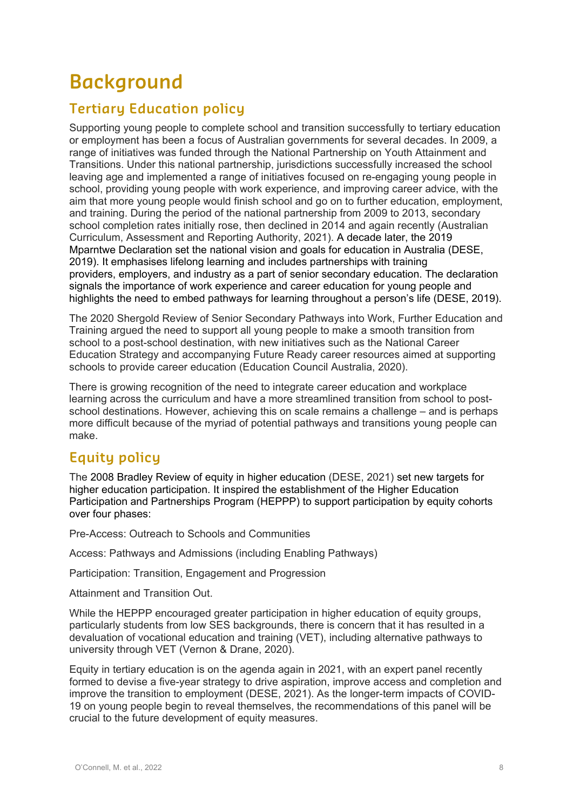# **Background**

### **Tertiary Education policy**

Supporting young people to complete school and transition successfully to tertiary education or employment has been a focus of Australian governments for several decades. In 2009, a range of initiatives was funded through the National Partnership on Youth Attainment and Transitions. Under this national partnership, jurisdictions successfully increased the school leaving age and implemented a range of initiatives focused on re-engaging young people in school, providing young people with work experience, and improving career advice, with the aim that more young people would finish school and go on to further education, employment, and training. During the period of the national partnership from 2009 to 2013, secondary school completion rates initially rose, then declined in 2014 and again recently (Australian Curriculum, Assessment and Reporting Authority, 2021). A decade later, the 2019 Mparntwe Declaration set the national vision and goals for education in Australia (DESE, 2019). It emphasises lifelong learning and includes partnerships with training providers, employers, and industry as a part of senior secondary education. The declaration signals the importance of work experience and career education for young people and highlights the need to embed pathways for learning throughout a person's life (DESE, 2019).

The 2020 Shergold Review of Senior Secondary Pathways into Work, Further Education and Training argued the need to support all young people to make a smooth transition from school to a post-school destination, with new initiatives such as the National Career Education Strategy and accompanying Future Ready career resources aimed at supporting schools to provide career education (Education Council Australia, 2020).

There is growing recognition of the need to integrate career education and workplace learning across the curriculum and have a more streamlined transition from school to postschool destinations. However, achieving this on scale remains a challenge – and is perhaps more difficult because of the myriad of potential pathways and transitions young people can make.

### **Equity policy**

The 2008 Bradley Review of equity in higher education (DESE, 2021) set new targets for higher education participation. It inspired the establishment of the Higher Education Participation and Partnerships Program (HEPPP) to support participation by equity cohorts over four phases:

Pre-Access: Outreach to Schools and Communities

Access: Pathways and Admissions (including Enabling Pathways)

Participation: Transition, Engagement and Progression

Attainment and Transition Out.

While the HEPPP encouraged greater participation in higher education of equity groups, particularly students from low SES backgrounds, there is concern that it has resulted in a devaluation of vocational education and training (VET), including alternative pathways to university through VET (Vernon & Drane, 2020).

Equity in tertiary education is on the agenda again in 2021, with an expert panel recently formed to devise a five-year strategy to drive aspiration, improve access and completion and improve the transition to employment (DESE, 2021). As the longer-term impacts of COVID-19 on young people begin to reveal themselves, the recommendations of this panel will be crucial to the future development of equity measures.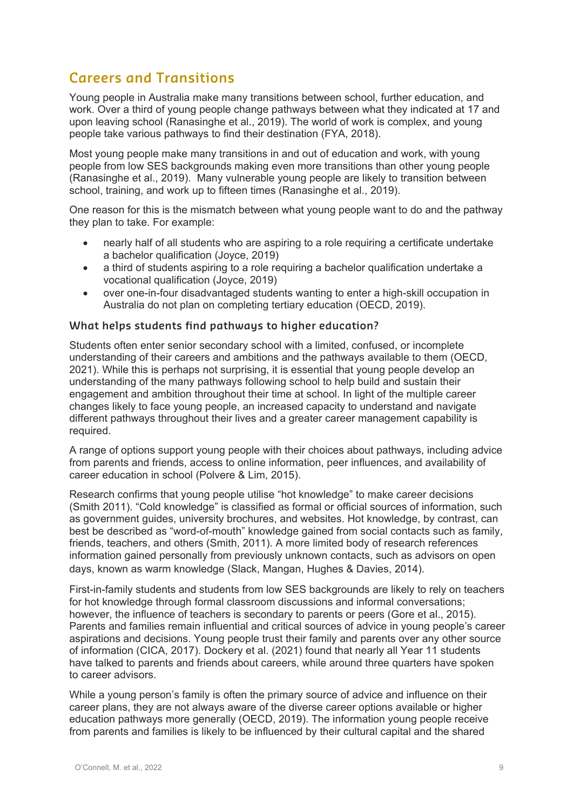### **Careers and Transitions**

Young people in Australia make many transitions between school, further education, and work. Over a third of young people change pathways between what they indicated at 17 and upon leaving school (Ranasinghe et al., 2019). The world of work is complex, and young people take various pathways to find their destination (FYA, 2018).

Most young people make many transitions in and out of education and work, with young people from low SES backgrounds making even more transitions than other young people (Ranasinghe et al., 2019). Many vulnerable young people are likely to transition between school, training, and work up to fifteen times (Ranasinghe et al., 2019).

One reason for this is the mismatch between what young people want to do and the pathway they plan to take. For example:

- nearly half of all students who are aspiring to a role requiring a certificate undertake a bachelor qualification (Joyce, 2019)
- a third of students aspiring to a role requiring a bachelor qualification undertake a vocational qualification (Joyce, 2019)
- over one-in-four disadvantaged students wanting to enter a high-skill occupation in Australia do not plan on completing tertiary education (OECD, 2019).

#### **What helps students find pathways to higher education?**

Students often enter senior secondary school with a limited, confused, or incomplete understanding of their careers and ambitions and the pathways available to them (OECD, 2021). While this is perhaps not surprising, it is essential that young people develop an understanding of the many pathways following school to help build and sustain their engagement and ambition throughout their time at school. In light of the multiple career changes likely to face young people, an increased capacity to understand and navigate different pathways throughout their lives and a greater career management capability is required.

A range of options support young people with their choices about pathways, including advice from parents and friends, access to online information, peer influences, and availability of career education in school (Polvere & Lim, 2015).

Research confirms that young people utilise "hot knowledge" to make career decisions (Smith 2011). "Cold knowledge" is classified as formal or official sources of information, such as government guides, university brochures, and websites. Hot knowledge, by contrast, can best be described as "word-of-mouth" knowledge gained from social contacts such as family, friends, teachers, and others (Smith, 2011). A more limited body of research references information gained personally from previously unknown contacts, such as advisors on open days, known as warm knowledge (Slack, Mangan, Hughes & Davies, 2014).

First-in-family students and students from low SES backgrounds are likely to rely on teachers for hot knowledge through formal classroom discussions and informal conversations; however, the influence of teachers is secondary to parents or peers (Gore et al., 2015). Parents and families remain influential and critical sources of advice in young people's career aspirations and decisions. Young people trust their family and parents over any other source of information (CICA, 2017). Dockery et al. (2021) found that nearly all Year 11 students have talked to parents and friends about careers, while around three quarters have spoken to career advisors.

While a young person's family is often the primary source of advice and influence on their career plans, they are not always aware of the diverse career options available or higher education pathways more generally (OECD, 2019). The information young people receive from parents and families is likely to be influenced by their cultural capital and the shared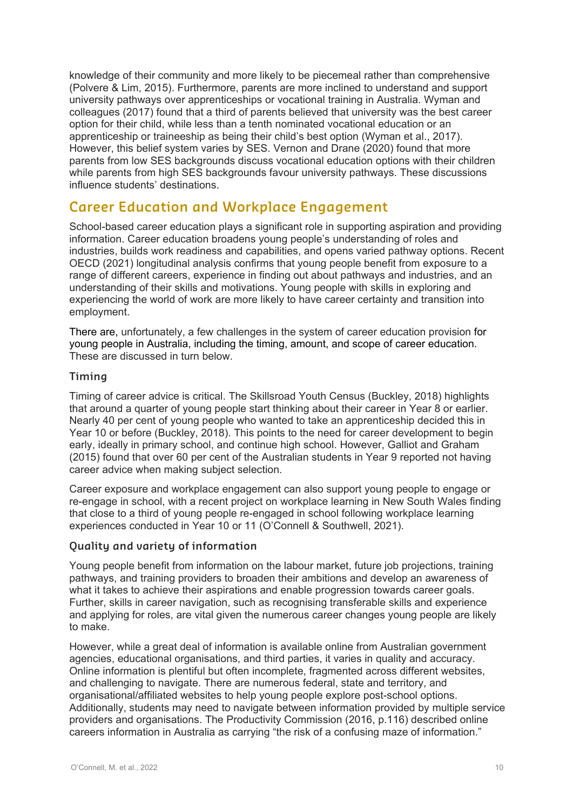knowledge of their community and more likely to be piecemeal rather than comprehensive (Polvere & Lim, 2015). Furthermore, parents are more inclined to understand and support university pathways over apprenticeships or vocational training in Australia. Wyman and colleagues (2017) found that a third of parents believed that university was the best career option for their child, while less than a tenth nominated vocational education or an apprenticeship or traineeship as being their child's best option (Wyman et al., 2017). However, this belief system varies by SES. Vernon and Drane (2020) found that more parents from low SES backgrounds discuss vocational education options with their children while parents from high SES backgrounds favour university pathways. These discussions influence students' destinations.

### **Career Education and Workplace Engagement**

School-based career education plays a significant role in supporting aspiration and providing information. Career education broadens young people's understanding of roles and industries, builds work readiness and capabilities, and opens varied pathway options. Recent OECD (2021) longitudinal analysis confirms that young people benefit from exposure to a range of different careers, experience in finding out about pathways and industries, and an understanding of their skills and motivations. Young people with skills in exploring and experiencing the world of work are more likely to have career certainty and transition into employment.

There are, unfortunately, a few challenges in the system of career education provision for young people in Australia, including the timing, amount, and scope of career education. These are discussed in turn below.

#### **Timing**

Timing of career advice is critical. The Skillsroad Youth Census (Buckley, 2018) highlights that around a quarter of young people start thinking about their career in Year 8 or earlier. Nearly 40 per cent of young people who wanted to take an apprenticeship decided this in Year 10 or before (Buckley, 2018). This points to the need for career development to begin early, ideally in primary school, and continue high school. However, Galliot and Graham (2015) found that over 60 per cent of the Australian students in Year 9 reported not having career advice when making subject selection.

Career exposure and workplace engagement can also support young people to engage or re-engage in school, with a recent project on workplace learning in New South Wales finding that close to a third of young people re-engaged in school following workplace learning experiences conducted in Year 10 or 11 (O'Connell & Southwell, 2021).

#### **Quality and variety of information**

Young people benefit from information on the labour market, future job projections, training pathways, and training providers to broaden their ambitions and develop an awareness of what it takes to achieve their aspirations and enable progression towards career goals. Further, skills in career navigation, such as recognising transferable skills and experience and applying for roles, are vital given the numerous career changes young people are likely to make.

However, while a great deal of information is available online from Australian government agencies, educational organisations, and third parties, it varies in quality and accuracy. Online information is plentiful but often incomplete, fragmented across different websites, and challenging to navigate. There are numerous federal, state and territory, and organisational/affiliated websites to help young people explore post-school options. Additionally, students may need to navigate between information provided by multiple service providers and organisations. The Productivity Commission (2016, p.116) described online careers information in Australia as carrying "the risk of a confusing maze of information."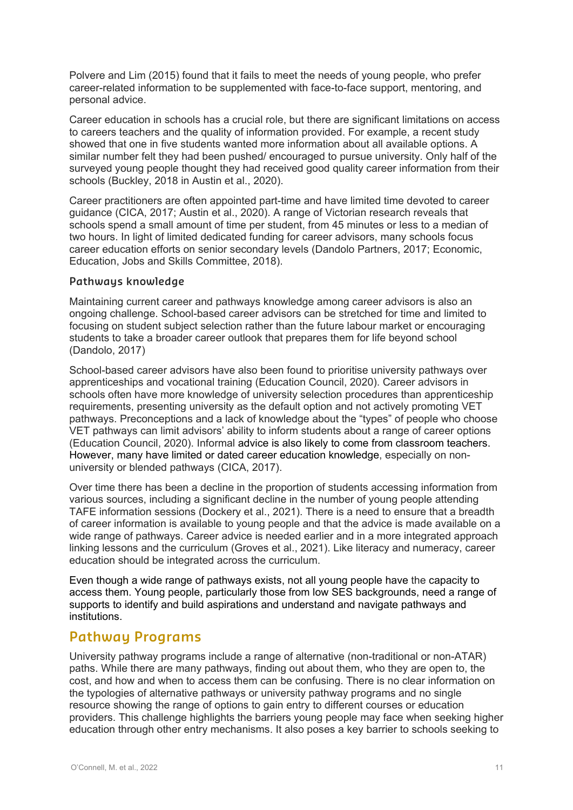Polvere and Lim (2015) found that it fails to meet the needs of young people, who prefer career-related information to be supplemented with face-to-face support, mentoring, and personal advice.

Career education in schools has a crucial role, but there are significant limitations on access to careers teachers and the quality of information provided. For example, a recent study showed that one in five students wanted more information about all available options. A similar number felt they had been pushed/ encouraged to pursue university. Only half of the surveyed young people thought they had received good quality career information from their schools (Buckley, 2018 in Austin et al., 2020).

Career practitioners are often appointed part-time and have limited time devoted to career guidance (CICA, 2017; Austin et al., 2020). A range of Victorian research reveals that schools spend a small amount of time per student, from 45 minutes or less to a median of two hours. In light of limited dedicated funding for career advisors, many schools focus career education efforts on senior secondary levels (Dandolo Partners, 2017; Economic, Education, Jobs and Skills Committee, 2018).

#### **Pathways knowledge**

Maintaining current career and pathways knowledge among career advisors is also an ongoing challenge. School-based career advisors can be stretched for time and limited to focusing on student subject selection rather than the future labour market or encouraging students to take a broader career outlook that prepares them for life beyond school (Dandolo, 2017)

School-based career advisors have also been found to prioritise university pathways over apprenticeships and vocational training (Education Council, 2020). Career advisors in schools often have more knowledge of university selection procedures than apprenticeship requirements, presenting university as the default option and not actively promoting VET pathways. Preconceptions and a lack of knowledge about the "types" of people who choose VET pathways can limit advisors' ability to inform students about a range of career options (Education Council, 2020). Informal advice is also likely to come from classroom teachers. However, many have limited or dated career education knowledge, especially on nonuniversity or blended pathways (CICA, 2017).

Over time there has been a decline in the proportion of students accessing information from various sources, including a significant decline in the number of young people attending TAFE information sessions (Dockery et al., 2021). There is a need to ensure that a breadth of career information is available to young people and that the advice is made available on a wide range of pathways. Career advice is needed earlier and in a more integrated approach linking lessons and the curriculum (Groves et al., 2021). Like literacy and numeracy, career education should be integrated across the curriculum.

Even though a wide range of pathways exists, not all young people have the capacity to access them. Young people, particularly those from low SES backgrounds, need a range of supports to identify and build aspirations and understand and navigate pathways and institutions.

### **Pathway Programs**

University pathway programs include a range of alternative (non-traditional or non-ATAR) paths. While there are many pathways, finding out about them, who they are open to, the cost, and how and when to access them can be confusing. There is no clear information on the typologies of alternative pathways or university pathway programs and no single resource showing the range of options to gain entry to different courses or education providers. This challenge highlights the barriers young people may face when seeking higher education through other entry mechanisms. It also poses a key barrier to schools seeking to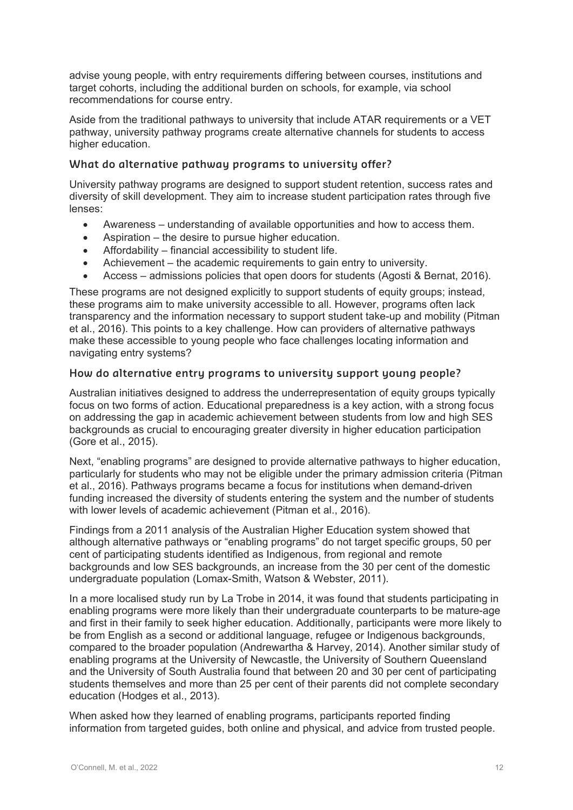advise young people, with entry requirements differing between courses, institutions and target cohorts, including the additional burden on schools, for example, via school recommendations for course entry.

Aside from the traditional pathways to university that include ATAR requirements or a VET pathway, university pathway programs create alternative channels for students to access higher education.

#### **What do alternative pathway programs to university offer?**

University pathway programs are designed to support student retention, success rates and diversity of skill development. They aim to increase student participation rates through five lenses:

- Awareness understanding of available opportunities and how to access them.
- Aspiration the desire to pursue higher education.
- Affordability financial accessibility to student life.
- Achievement the academic requirements to gain entry to university.
- Access admissions policies that open doors for students (Agosti & Bernat, 2016).

These programs are not designed explicitly to support students of equity groups; instead, these programs aim to make university accessible to all. However, programs often lack transparency and the information necessary to support student take-up and mobility (Pitman et al., 2016). This points to a key challenge. How can providers of alternative pathways make these accessible to young people who face challenges locating information and navigating entry systems?

#### **How do alternative entry programs to university support young people?**

Australian initiatives designed to address the underrepresentation of equity groups typically focus on two forms of action. Educational preparedness is a key action, with a strong focus on addressing the gap in academic achievement between students from low and high SES backgrounds as crucial to encouraging greater diversity in higher education participation (Gore et al., 2015).

Next, "enabling programs" are designed to provide alternative pathways to higher education, particularly for students who may not be eligible under the primary admission criteria (Pitman et al., 2016). Pathways programs became a focus for institutions when demand-driven funding increased the diversity of students entering the system and the number of students with lower levels of academic achievement (Pitman et al., 2016).

Findings from a 2011 analysis of the Australian Higher Education system showed that although alternative pathways or "enabling programs" do not target specific groups, 50 per cent of participating students identified as Indigenous, from regional and remote backgrounds and low SES backgrounds, an increase from the 30 per cent of the domestic undergraduate population (Lomax-Smith, Watson & Webster, 2011).

In a more localised study run by La Trobe in 2014, it was found that students participating in enabling programs were more likely than their undergraduate counterparts to be mature-age and first in their family to seek higher education. Additionally, participants were more likely to be from English as a second or additional language, refugee or Indigenous backgrounds, compared to the broader population (Andrewartha & Harvey, 2014). Another similar study of enabling programs at the University of Newcastle, the University of Southern Queensland and the University of South Australia found that between 20 and 30 per cent of participating students themselves and more than 25 per cent of their parents did not complete secondary education (Hodges et al., 2013).

When asked how they learned of enabling programs, participants reported finding information from targeted guides, both online and physical, and advice from trusted people.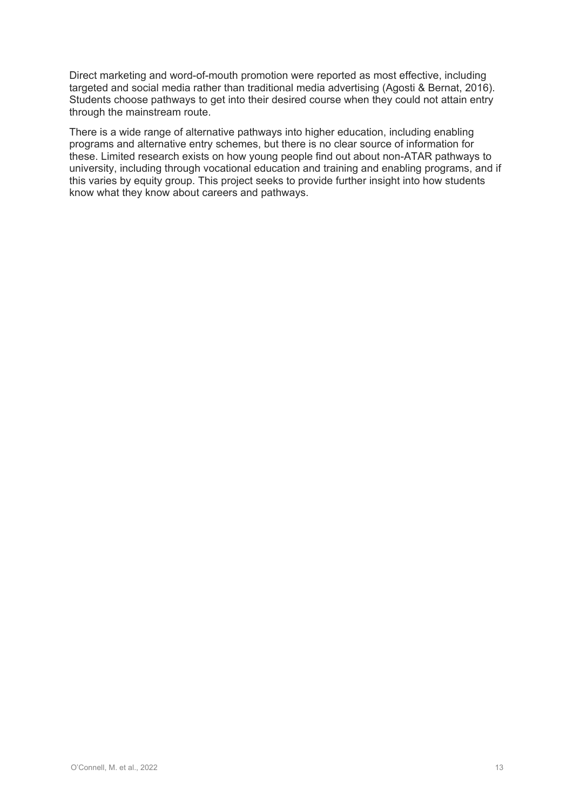Direct marketing and word-of-mouth promotion were reported as most effective, including targeted and social media rather than traditional media advertising (Agosti & Bernat, 2016). Students choose pathways to get into their desired course when they could not attain entry through the mainstream route.

There is a wide range of alternative pathways into higher education, including enabling programs and alternative entry schemes, but there is no clear source of information for these. Limited research exists on how young people find out about non-ATAR pathways to university, including through vocational education and training and enabling programs, and if this varies by equity group. This project seeks to provide further insight into how students know what they know about careers and pathways.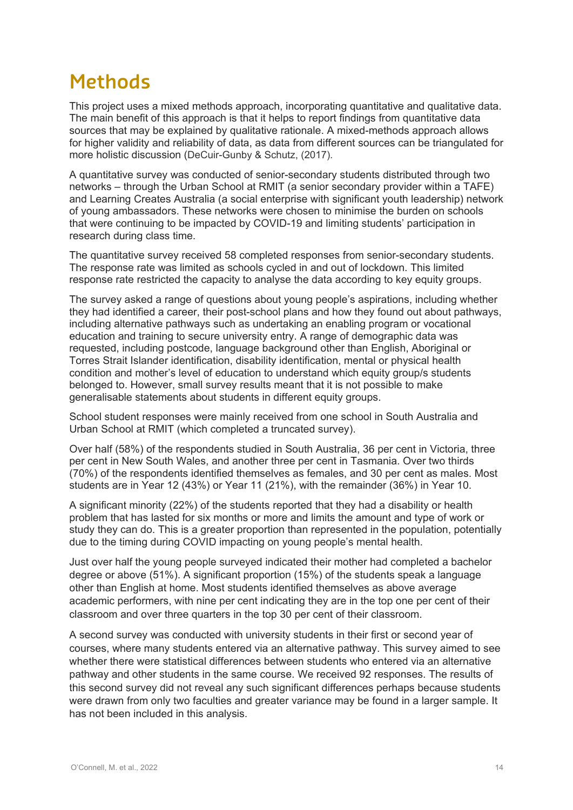### **Methods**

This project uses a mixed methods approach, incorporating quantitative and qualitative data. The main benefit of this approach is that it helps to report findings from quantitative data sources that may be explained by qualitative rationale. A mixed-methods approach allows for higher validity and reliability of data, as data from different sources can be triangulated for more holistic discussion (DeCuir-Gunby & Schutz, (2017).

A quantitative survey was conducted of senior-secondary students distributed through two networks – through the Urban School at RMIT (a senior secondary provider within a TAFE) and Learning Creates Australia (a social enterprise with significant youth leadership) network of young ambassadors. These networks were chosen to minimise the burden on schools that were continuing to be impacted by COVID-19 and limiting students' participation in research during class time.

The quantitative survey received 58 completed responses from senior-secondary students. The response rate was limited as schools cycled in and out of lockdown. This limited response rate restricted the capacity to analyse the data according to key equity groups.

The survey asked a range of questions about young people's aspirations, including whether they had identified a career, their post-school plans and how they found out about pathways, including alternative pathways such as undertaking an enabling program or vocational education and training to secure university entry. A range of demographic data was requested, including postcode, language background other than English, Aboriginal or Torres Strait Islander identification, disability identification, mental or physical health condition and mother's level of education to understand which equity group/s students belonged to. However, small survey results meant that it is not possible to make generalisable statements about students in different equity groups.

School student responses were mainly received from one school in South Australia and Urban School at RMIT (which completed a truncated survey).

Over half (58%) of the respondents studied in South Australia, 36 per cent in Victoria, three per cent in New South Wales, and another three per cent in Tasmania. Over two thirds (70%) of the respondents identified themselves as females, and 30 per cent as males. Most students are in Year 12 (43%) or Year 11 (21%), with the remainder (36%) in Year 10.

A significant minority (22%) of the students reported that they had a disability or health problem that has lasted for six months or more and limits the amount and type of work or study they can do. This is a greater proportion than represented in the population, potentially due to the timing during COVID impacting on young people's mental health.

Just over half the young people surveyed indicated their mother had completed a bachelor degree or above  $(51%)$ . A significant proportion  $(15%)$  of the students speak a language other than English at home. Most students identified themselves as above average academic performers, with nine per cent indicating they are in the top one per cent of their classroom and over three quarters in the top 30 per cent of their classroom.

A second survey was conducted with university students in their first or second year of courses, where many students entered via an alternative pathway. This survey aimed to see whether there were statistical differences between students who entered via an alternative pathway and other students in the same course. We received 92 responses. The results of this second survey did not reveal any such significant differences perhaps because students were drawn from only two faculties and greater variance may be found in a larger sample. It has not been included in this analysis.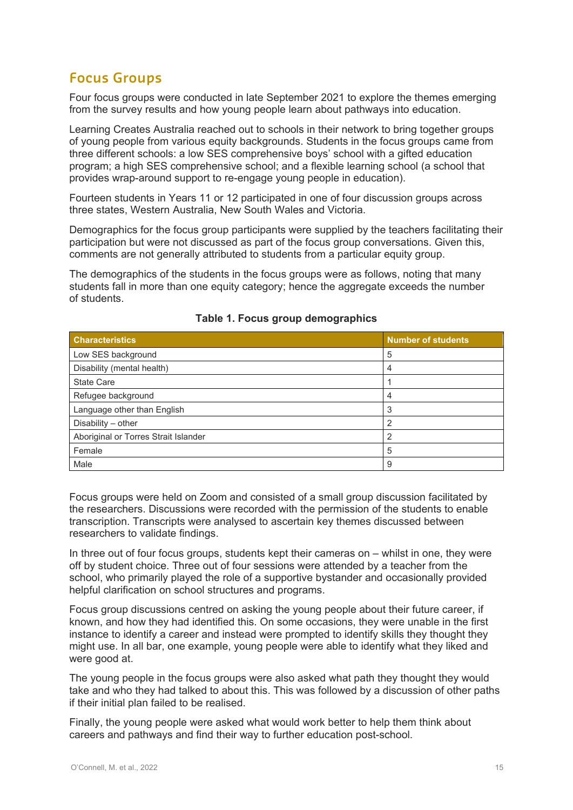### **Focus Groups**

Four focus groups were conducted in late September 2021 to explore the themes emerging from the survey results and how young people learn about pathways into education.

Learning Creates Australia reached out to schools in their network to bring together groups of young people from various equity backgrounds. Students in the focus groups came from three different schools: a low SES comprehensive boys' school with a gifted education program; a high SES comprehensive school; and a flexible learning school (a school that provides wrap-around support to re-engage young people in education).

Fourteen students in Years 11 or 12 participated in one of four discussion groups across three states, Western Australia, New South Wales and Victoria.

Demographics for the focus group participants were supplied by the teachers facilitating their participation but were not discussed as part of the focus group conversations. Given this, comments are not generally attributed to students from a particular equity group.

The demographics of the students in the focus groups were as follows, noting that many students fall in more than one equity category; hence the aggregate exceeds the number of students.

| <b>Characteristics</b>               | <b>Number of students</b> |
|--------------------------------------|---------------------------|
| Low SES background                   | 5                         |
| Disability (mental health)           | 4                         |
| <b>State Care</b>                    |                           |
| Refugee background                   | 4                         |
| Language other than English          | 3                         |
| Disability - other                   | っ                         |
| Aboriginal or Torres Strait Islander | っ                         |
| Female                               | 5                         |
| Male                                 | 9                         |

#### **Table 1. Focus group demographics**

Focus groups were held on Zoom and consisted of a small group discussion facilitated by the researchers. Discussions were recorded with the permission of the students to enable transcription. Transcripts were analysed to ascertain key themes discussed between researchers to validate findings.

In three out of four focus groups, students kept their cameras on – whilst in one, they were off by student choice. Three out of four sessions were attended by a teacher from the school, who primarily played the role of a supportive bystander and occasionally provided helpful clarification on school structures and programs.

Focus group discussions centred on asking the young people about their future career, if known, and how they had identified this. On some occasions, they were unable in the first instance to identify a career and instead were prompted to identify skills they thought they might use. In all bar, one example, young people were able to identify what they liked and were good at.

The young people in the focus groups were also asked what path they thought they would take and who they had talked to about this. This was followed by a discussion of other paths if their initial plan failed to be realised.

Finally, the young people were asked what would work better to help them think about careers and pathways and find their way to further education post-school.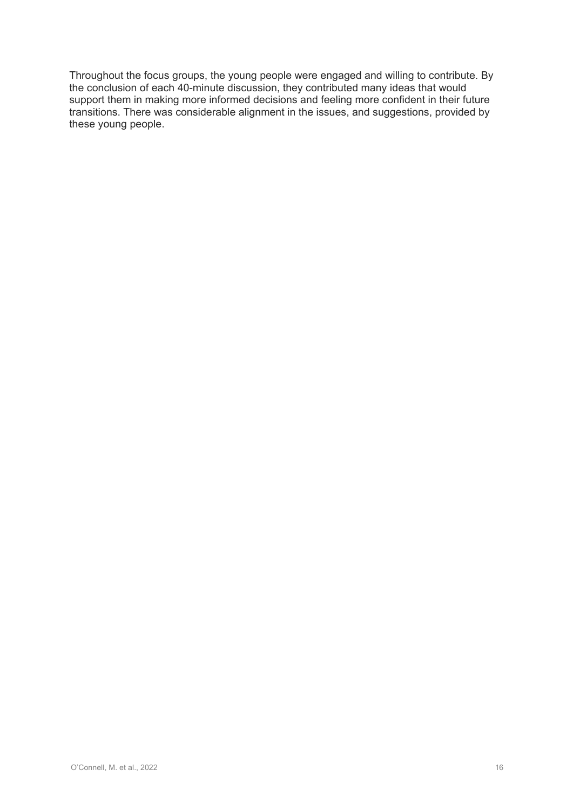Throughout the focus groups, the young people were engaged and willing to contribute. By the conclusion of each 40-minute discussion, they contributed many ideas that would support them in making more informed decisions and feeling more confident in their future transitions. There was considerable alignment in the issues, and suggestions, provided by these young people.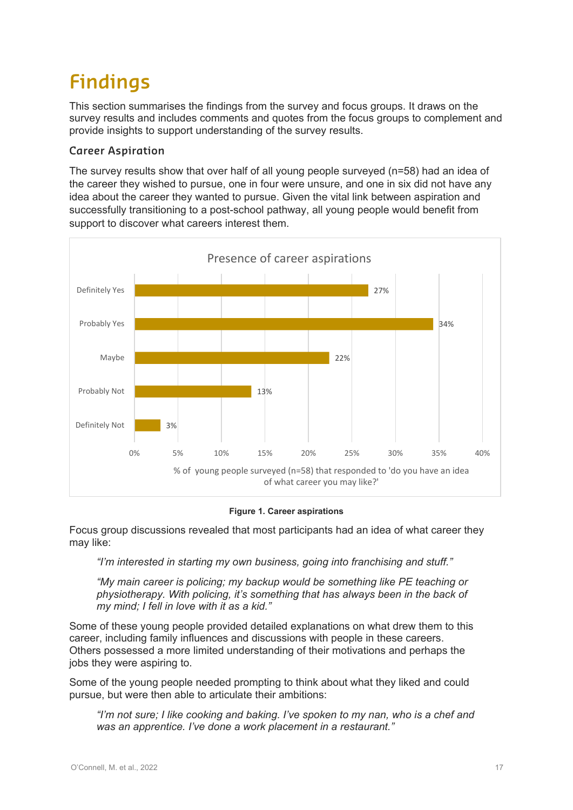# **Findings**

This section summarises the findings from the survey and focus groups. It draws on the survey results and includes comments and quotes from the focus groups to complement and provide insights to support understanding of the survey results.

#### **Career Aspiration**

The survey results show that over half of all young people surveyed (n=58) had an idea of the career they wished to pursue, one in four were unsure, and one in six did not have any idea about the career they wanted to pursue. Given the vital link between aspiration and successfully transitioning to a post-school pathway, all young people would benefit from support to discover what careers interest them.



#### **Figure 1. Career aspirations**

Focus group discussions revealed that most participants had an idea of what career they may like:

*"I'm interested in starting my own business, going into franchising and stuff."*

*"My main career is policing; my backup would be something like PE teaching or physiotherapy. With policing, it's something that has always been in the back of my mind; I fell in love with it as a kid."*

Some of these young people provided detailed explanations on what drew them to this career, including family influences and discussions with people in these careers. Others possessed a more limited understanding of their motivations and perhaps the jobs they were aspiring to.

Some of the young people needed prompting to think about what they liked and could pursue, but were then able to articulate their ambitions:

*"I'm not sure; I like cooking and baking. I've spoken to my nan, who is a chef and was an apprentice. I've done a work placement in a restaurant."*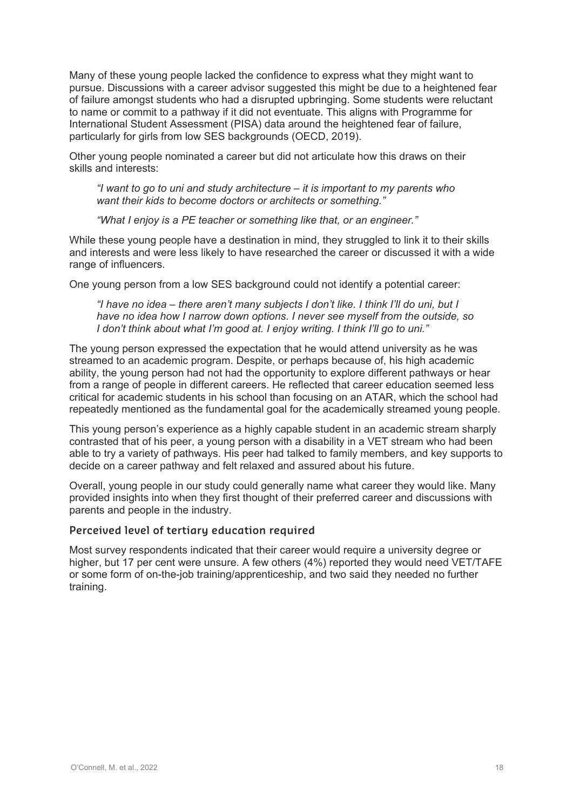Many of these young people lacked the confidence to express what they might want to pursue. Discussions with a career advisor suggested this might be due to a heightened fear of failure amongst students who had a disrupted upbringing. Some students were reluctant to name or commit to a pathway if it did not eventuate. This aligns with Programme for International Student Assessment (PISA) data around the heightened fear of failure, particularly for girls from low SES backgrounds (OECD, 2019).

Other young people nominated a career but did not articulate how this draws on their skills and interests:

*"I want to go to uni and study architecture – it is important to my parents who want their kids to become doctors or architects or something."*

*"What I enjoy is a PE teacher or something like that, or an engineer."*

While these young people have a destination in mind, they struggled to link it to their skills and interests and were less likely to have researched the career or discussed it with a wide range of influencers.

One young person from a low SES background could not identify a potential career:

*"I have no idea – there aren't many subjects I don't like. I think I'll do uni, but I have no idea how I narrow down options. I never see myself from the outside, so I don't think about what I'm good at. I enjoy writing. I think I'll go to uni."*

The young person expressed the expectation that he would attend university as he was streamed to an academic program. Despite, or perhaps because of, his high academic ability, the young person had not had the opportunity to explore different pathways or hear from a range of people in different careers. He reflected that career education seemed less critical for academic students in his school than focusing on an ATAR, which the school had repeatedly mentioned as the fundamental goal for the academically streamed young people.

This young person's experience as a highly capable student in an academic stream sharply contrasted that of his peer, a young person with a disability in a VET stream who had been able to try a variety of pathways. His peer had talked to family members, and key supports to decide on a career pathway and felt relaxed and assured about his future.

Overall, young people in our study could generally name what career they would like. Many provided insights into when they first thought of their preferred career and discussions with parents and people in the industry.

#### **Perceived level of tertiary education required**

Most survey respondents indicated that their career would require a university degree or higher, but 17 per cent were unsure. A few others (4%) reported they would need VET/TAFE or some form of on-the-job training/apprenticeship, and two said they needed no further training.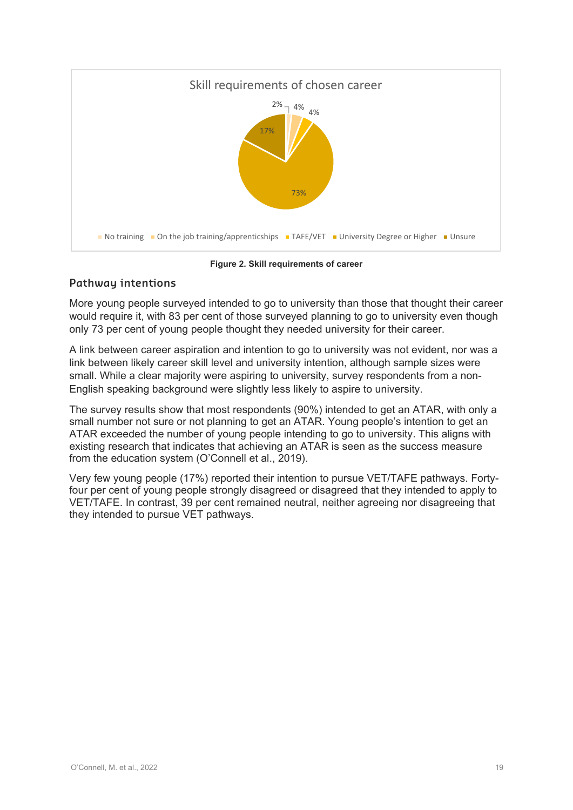

**Figure 2. Skill requirements of career**

#### **Pathway intentions**

More young people surveyed intended to go to university than those that thought their career would require it, with 83 per cent of those surveyed planning to go to university even though only 73 per cent of young people thought they needed university for their career.

A link between career aspiration and intention to go to university was not evident, nor was a link between likely career skill level and university intention, although sample sizes were small. While a clear majority were aspiring to university, survey respondents from a non-English speaking background were slightly less likely to aspire to university.

The survey results show that most respondents (90%) intended to get an ATAR, with only a small number not sure or not planning to get an ATAR. Young people's intention to get an ATAR exceeded the number of young people intending to go to university. This aligns with existing research that indicates that achieving an ATAR is seen as the success measure from the education system (O'Connell et al., 2019).

Very few young people (17%) reported their intention to pursue VET/TAFE pathways. Fortyfour per cent of young people strongly disagreed or disagreed that they intended to apply to VET/TAFE. In contrast, 39 per cent remained neutral, neither agreeing nor disagreeing that they intended to pursue VET pathways.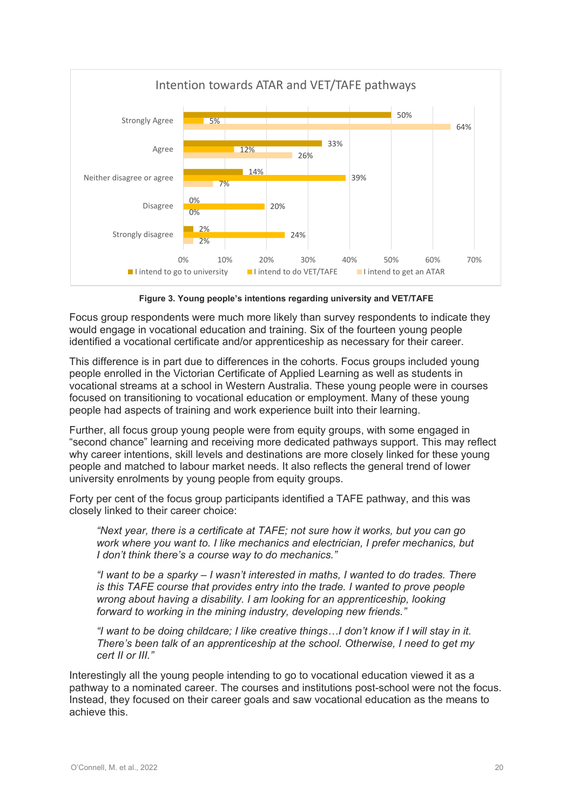

**Figure 3. Young people's intentions regarding university and VET/TAFE**

Focus group respondents were much more likely than survey respondents to indicate they would engage in vocational education and training. Six of the fourteen young people identified a vocational certificate and/or apprenticeship as necessary for their career.

This difference is in part due to differences in the cohorts. Focus groups included young people enrolled in the Victorian Certificate of Applied Learning as well as students in vocational streams at a school in Western Australia. These young people were in courses focused on transitioning to vocational education or employment. Many of these young people had aspects of training and work experience built into their learning.

Further, all focus group young people were from equity groups, with some engaged in "second chance" learning and receiving more dedicated pathways support. This may reflect why career intentions, skill levels and destinations are more closely linked for these young people and matched to labour market needs. It also reflects the general trend of lower university enrolments by young people from equity groups.

Forty per cent of the focus group participants identified a TAFE pathway, and this was closely linked to their career choice:

*"Next year, there is a certificate at TAFE; not sure how it works, but you can go work where you want to. I like mechanics and electrician, I prefer mechanics, but I don't think there's a course way to do mechanics."*

*"I want to be a sparky – I wasn't interested in maths, I wanted to do trades. There is this TAFE course that provides entry into the trade. I wanted to prove people wrong about having a disability. I am looking for an apprenticeship, looking forward to working in the mining industry, developing new friends."*

*"I want to be doing childcare; I like creative things…I don't know if I will stay in it. There's been talk of an apprenticeship at the school. Otherwise, I need to get my cert II or III."*

Interestingly all the young people intending to go to vocational education viewed it as a pathway to a nominated career. The courses and institutions post-school were not the focus. Instead, they focused on their career goals and saw vocational education as the means to achieve this.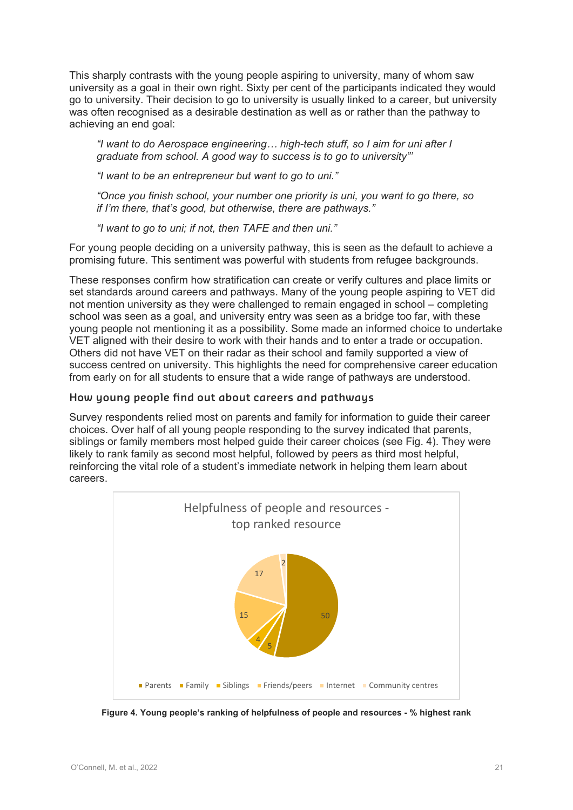This sharply contrasts with the young people aspiring to university, many of whom saw university as a goal in their own right. Sixty per cent of the participants indicated they would go to university. Their decision to go to university is usually linked to a career, but university was often recognised as a desirable destination as well as or rather than the pathway to achieving an end goal:

*"I want to do Aerospace engineering… high-tech stuff, so I aim for uni after I graduate from school. A good way to success is to go to university"'*

*"I want to be an entrepreneur but want to go to uni."*

*"Once you finish school, your number one priority is uni, you want to go there, so if I'm there, that's good, but otherwise, there are pathways."*

*"I want to go to uni; if not, then TAFE and then uni."*

For young people deciding on a university pathway, this is seen as the default to achieve a promising future. This sentiment was powerful with students from refugee backgrounds.

These responses confirm how stratification can create or verify cultures and place limits or set standards around careers and pathways. Many of the young people aspiring to VET did not mention university as they were challenged to remain engaged in school – completing school was seen as a goal, and university entry was seen as a bridge too far, with these young people not mentioning it as a possibility. Some made an informed choice to undertake VET aligned with their desire to work with their hands and to enter a trade or occupation. Others did not have VET on their radar as their school and family supported a view of success centred on university. This highlights the need for comprehensive career education from early on for all students to ensure that a wide range of pathways are understood.

#### **How young people find out about careers and pathways**

Survey respondents relied most on parents and family for information to guide their career choices. Over half of all young people responding to the survey indicated that parents, siblings or family members most helped guide their career choices (see Fig. 4). They were likely to rank family as second most helpful, followed by peers as third most helpful, reinforcing the vital role of a student's immediate network in helping them learn about careers.



**Figure 4. Young people's ranking of helpfulness of people and resources - % highest rank**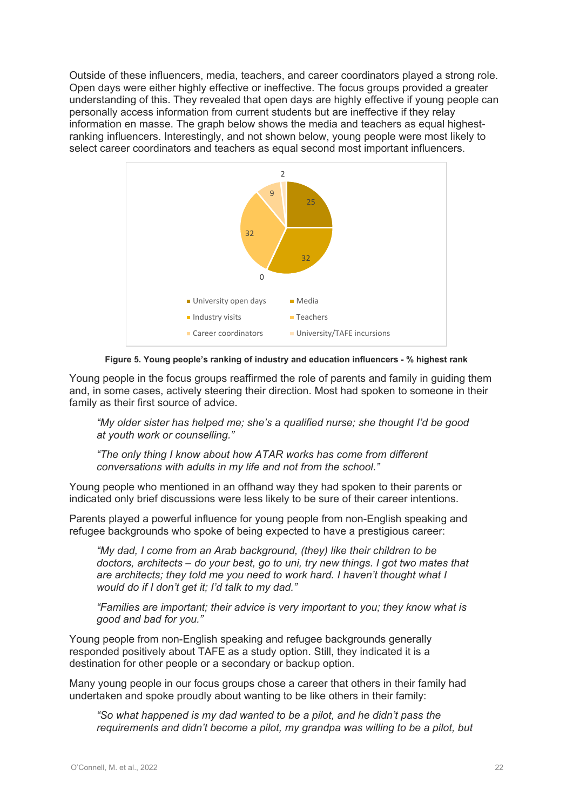Outside of these influencers, media, teachers, and career coordinators played a strong role. Open days were either highly effective or ineffective. The focus groups provided a greater understanding of this. They revealed that open days are highly effective if young people can personally access information from current students but are ineffective if they relay information en masse. The graph below shows the media and teachers as equal highestranking influencers. Interestingly, and not shown below, young people were most likely to select career coordinators and teachers as equal second most important influencers.



**Figure 5. Young people's ranking of industry and education influencers - % highest rank**

Young people in the focus groups reaffirmed the role of parents and family in guiding them and, in some cases, actively steering their direction. Most had spoken to someone in their family as their first source of advice.

*"My older sister has helped me; she's a qualified nurse; she thought I'd be good at youth work or counselling."*

*"The only thing I know about how ATAR works has come from different conversations with adults in my life and not from the school."*

Young people who mentioned in an offhand way they had spoken to their parents or indicated only brief discussions were less likely to be sure of their career intentions.

Parents played a powerful influence for young people from non-English speaking and refugee backgrounds who spoke of being expected to have a prestigious career:

*"My dad, I come from an Arab background, (they) like their children to be doctors, architects – do your best, go to uni, try new things. I got two mates that are architects; they told me you need to work hard. I haven't thought what I would do if I don't get it; I'd talk to my dad."*

*"Families are important; their advice is very important to you; they know what is good and bad for you."*

Young people from non-English speaking and refugee backgrounds generally responded positively about TAFE as a study option. Still, they indicated it is a destination for other people or a secondary or backup option.

Many young people in our focus groups chose a career that others in their family had undertaken and spoke proudly about wanting to be like others in their family:

*"So what happened is my dad wanted to be a pilot, and he didn't pass the requirements and didn't become a pilot, my grandpa was willing to be a pilot, but*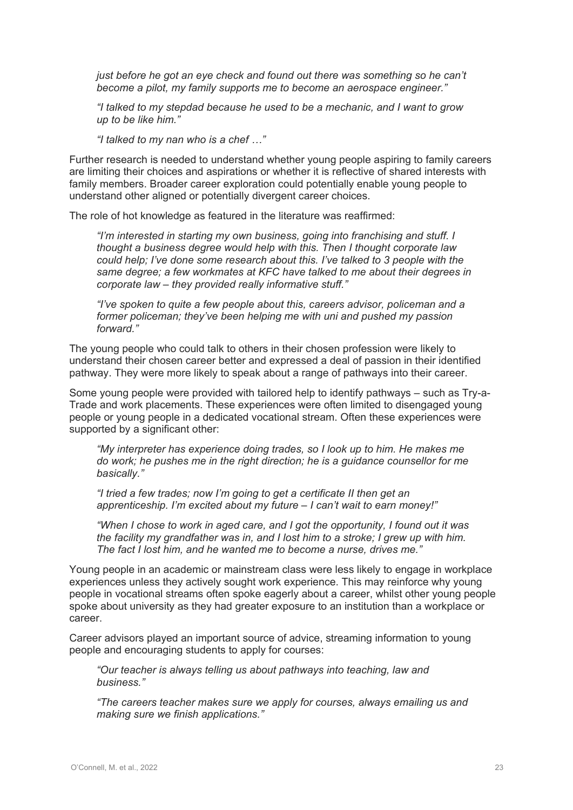*just before he got an eye check and found out there was something so he can't become a pilot, my family supports me to become an aerospace engineer."* 

*"I talked to my stepdad because he used to be a mechanic, and I want to grow up to be like him."*

*"I talked to my nan who is a chef …"*

Further research is needed to understand whether young people aspiring to family careers are limiting their choices and aspirations or whether it is reflective of shared interests with family members. Broader career exploration could potentially enable young people to understand other aligned or potentially divergent career choices.

The role of hot knowledge as featured in the literature was reaffirmed:

*"I'm interested in starting my own business, going into franchising and stuff. I thought a business degree would help with this. Then I thought corporate law could help; I've done some research about this. I've talked to 3 people with the same degree; a few workmates at KFC have talked to me about their degrees in corporate law – they provided really informative stuff."*

*"I've spoken to quite a few people about this, careers advisor, policeman and a former policeman; they've been helping me with uni and pushed my passion forward."*

The young people who could talk to others in their chosen profession were likely to understand their chosen career better and expressed a deal of passion in their identified pathway. They were more likely to speak about a range of pathways into their career.

Some young people were provided with tailored help to identify pathways – such as Try-a-Trade and work placements. These experiences were often limited to disengaged young people or young people in a dedicated vocational stream. Often these experiences were supported by a significant other:

*"My interpreter has experience doing trades, so I look up to him. He makes me do work; he pushes me in the right direction; he is a guidance counsellor for me basically."*

*"I tried a few trades; now I'm going to get a certificate II then get an apprenticeship. I'm excited about my future – I can't wait to earn money!"*

*"When I chose to work in aged care, and I got the opportunity, I found out it was the facility my grandfather was in, and I lost him to a stroke; I grew up with him. The fact I lost him, and he wanted me to become a nurse, drives me."*

Young people in an academic or mainstream class were less likely to engage in workplace experiences unless they actively sought work experience. This may reinforce why young people in vocational streams often spoke eagerly about a career, whilst other young people spoke about university as they had greater exposure to an institution than a workplace or career.

Career advisors played an important source of advice, streaming information to young people and encouraging students to apply for courses:

*"Our teacher is always telling us about pathways into teaching, law and business."*

*"The careers teacher makes sure we apply for courses, always emailing us and making sure we finish applications."*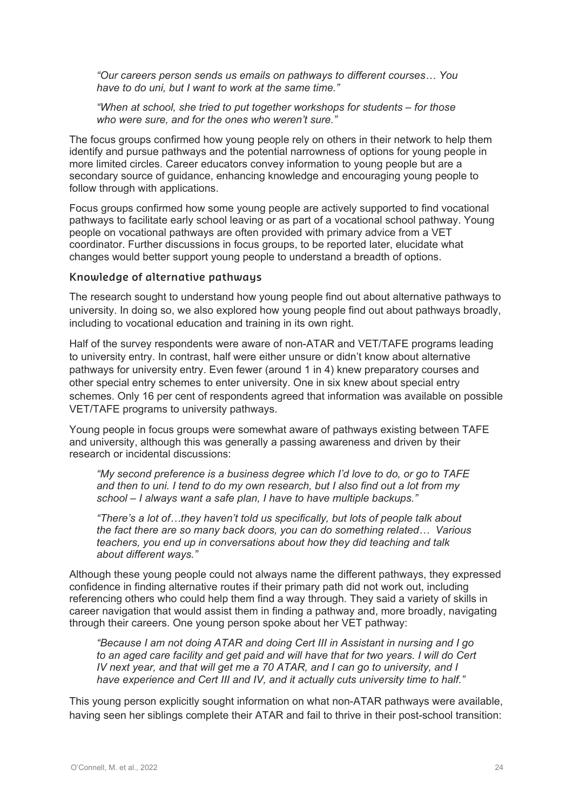*"Our careers person sends us emails on pathways to different courses… You have to do uni, but I want to work at the same time."*

*"When at school, she tried to put together workshops for students – for those who were sure, and for the ones who weren't sure."*

The focus groups confirmed how young people rely on others in their network to help them identify and pursue pathways and the potential narrowness of options for young people in more limited circles. Career educators convey information to young people but are a secondary source of guidance, enhancing knowledge and encouraging young people to follow through with applications.

Focus groups confirmed how some young people are actively supported to find vocational pathways to facilitate early school leaving or as part of a vocational school pathway. Young people on vocational pathways are often provided with primary advice from a VET coordinator. Further discussions in focus groups, to be reported later, elucidate what changes would better support young people to understand a breadth of options.

#### **Knowledge of alternative pathways**

The research sought to understand how young people find out about alternative pathways to university. In doing so, we also explored how young people find out about pathways broadly, including to vocational education and training in its own right.

Half of the survey respondents were aware of non-ATAR and VET/TAFE programs leading to university entry. In contrast, half were either unsure or didn't know about alternative pathways for university entry. Even fewer (around 1 in 4) knew preparatory courses and other special entry schemes to enter university. One in six knew about special entry schemes. Only 16 per cent of respondents agreed that information was available on possible VET/TAFE programs to university pathways.

Young people in focus groups were somewhat aware of pathways existing between TAFE and university, although this was generally a passing awareness and driven by their research or incidental discussions:

*"My second preference is a business degree which I'd love to do, or go to TAFE and then to uni. I tend to do my own research, but I also find out a lot from my school – I always want a safe plan, I have to have multiple backups."*

*"There's a lot of…they haven't told us specifically, but lots of people talk about the fact there are so many back doors, you can do something related… Various teachers, you end up in conversations about how they did teaching and talk about different ways."*

Although these young people could not always name the different pathways, they expressed confidence in finding alternative routes if their primary path did not work out, including referencing others who could help them find a way through. They said a variety of skills in career navigation that would assist them in finding a pathway and, more broadly, navigating through their careers. One young person spoke about her VET pathway:

*"Because I am not doing ATAR and doing Cert III in Assistant in nursing and I go to an aged care facility and get paid and will have that for two years. I will do Cert IV next year, and that will get me a 70 ATAR, and I can go to university, and I have experience and Cert III and IV, and it actually cuts university time to half."*

This young person explicitly sought information on what non-ATAR pathways were available, having seen her siblings complete their ATAR and fail to thrive in their post-school transition: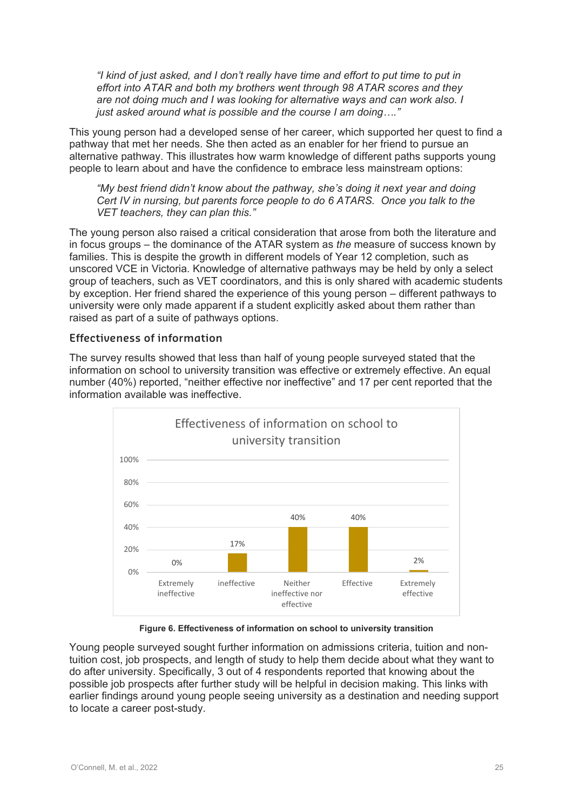*"I kind of just asked, and I don't really have time and effort to put time to put in effort into ATAR and both my brothers went through 98 ATAR scores and they are not doing much and I was looking for alternative ways and can work also. I just asked around what is possible and the course I am doing…."*

This young person had a developed sense of her career, which supported her quest to find a pathway that met her needs. She then acted as an enabler for her friend to pursue an alternative pathway. This illustrates how warm knowledge of different paths supports young people to learn about and have the confidence to embrace less mainstream options:

*"My best friend didn't know about the pathway, she's doing it next year and doing Cert IV in nursing, but parents force people to do 6 ATARS. Once you talk to the VET teachers, they can plan this."*

The young person also raised a critical consideration that arose from both the literature and in focus groups – the dominance of the ATAR system as *the* measure of success known by families. This is despite the growth in different models of Year 12 completion, such as unscored VCE in Victoria. Knowledge of alternative pathways may be held by only a select group of teachers, such as VET coordinators, and this is only shared with academic students by exception. Her friend shared the experience of this young person – different pathways to university were only made apparent if a student explicitly asked about them rather than raised as part of a suite of pathways options.

#### **Effectiveness of information**

The survey results showed that less than half of young people surveyed stated that the information on school to university transition was effective or extremely effective. An equal number (40%) reported, "neither effective nor ineffective" and 17 per cent reported that the information available was ineffective.



**Figure 6. Effectiveness of information on school to university transition**

Young people surveyed sought further information on admissions criteria, tuition and nontuition cost, job prospects, and length of study to help them decide about what they want to do after university. Specifically, 3 out of 4 respondents reported that knowing about the possible job prospects after further study will be helpful in decision making. This links with earlier findings around young people seeing university as a destination and needing support to locate a career post-study.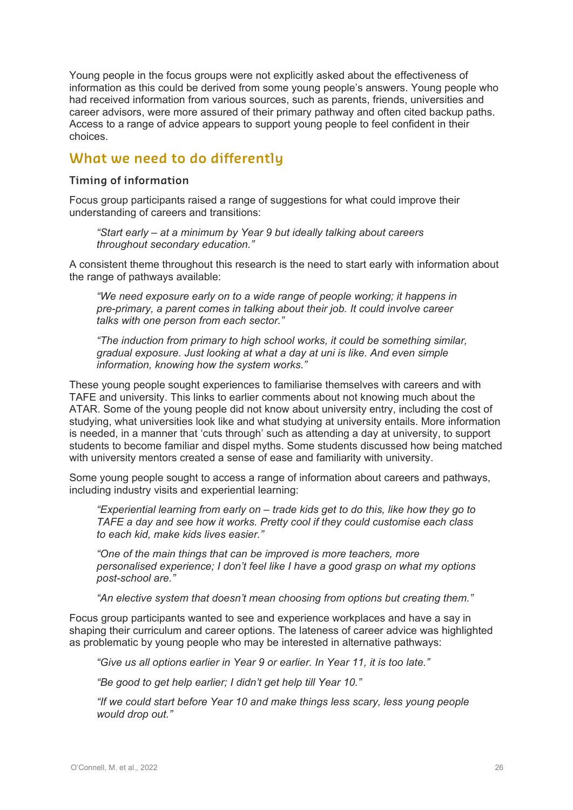Young people in the focus groups were not explicitly asked about the effectiveness of information as this could be derived from some young people's answers. Young people who had received information from various sources, such as parents, friends, universities and career advisors, were more assured of their primary pathway and often cited backup paths. Access to a range of advice appears to support young people to feel confident in their choices.

### **What we need to do differently**

#### **Timing of information**

Focus group participants raised a range of suggestions for what could improve their understanding of careers and transitions:

*"Start early – at a minimum by Year 9 but ideally talking about careers throughout secondary education."*

A consistent theme throughout this research is the need to start early with information about the range of pathways available:

*"We need exposure early on to a wide range of people working; it happens in pre-primary, a parent comes in talking about their job. It could involve career talks with one person from each sector."*

*"The induction from primary to high school works, it could be something similar, gradual exposure. Just looking at what a day at uni is like. And even simple information, knowing how the system works."*

These young people sought experiences to familiarise themselves with careers and with TAFE and university. This links to earlier comments about not knowing much about the ATAR. Some of the young people did not know about university entry, including the cost of studying, what universities look like and what studying at university entails. More information is needed, in a manner that 'cuts through' such as attending a day at university, to support students to become familiar and dispel myths. Some students discussed how being matched with university mentors created a sense of ease and familiarity with university.

Some young people sought to access a range of information about careers and pathways, including industry visits and experiential learning:

*"Experiential learning from early on – trade kids get to do this, like how they go to TAFE a day and see how it works. Pretty cool if they could customise each class to each kid, make kids lives easier."*

*"One of the main things that can be improved is more teachers, more personalised experience; I don't feel like I have a good grasp on what my options post-school are."* 

*"An elective system that doesn't mean choosing from options but creating them."*

Focus group participants wanted to see and experience workplaces and have a say in shaping their curriculum and career options. The lateness of career advice was highlighted as problematic by young people who may be interested in alternative pathways:

*"Give us all options earlier in Year 9 or earlier. In Year 11, it is too late."*

*"Be good to get help earlier; I didn't get help till Year 10."*

*"If we could start before Year 10 and make things less scary, less young people would drop out."*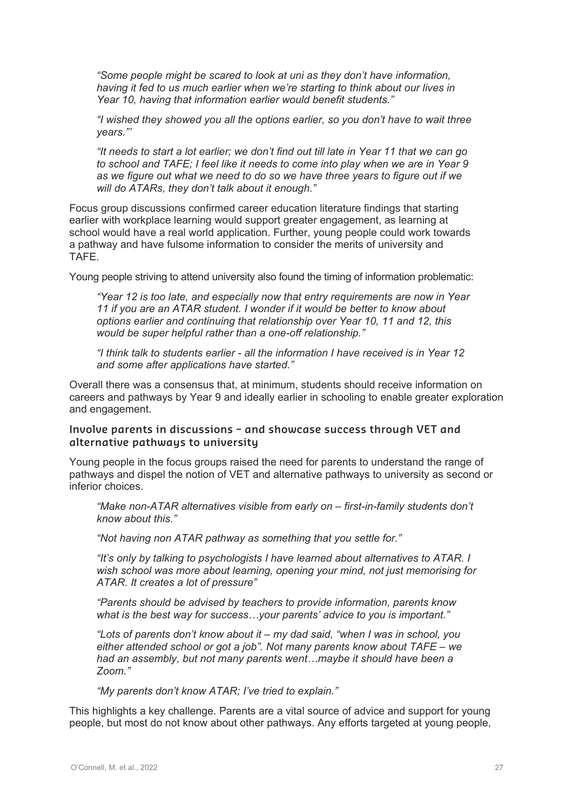*"Some people might be scared to look at uni as they don't have information, having it fed to us much earlier when we're starting to think about our lives in Year 10, having that information earlier would benefit students."*

*"I wished they showed you all the options earlier, so you don't have to wait three years."'*

*"It needs to start a lot earlier; we don't find out till late in Year 11 that we can go to school and TAFE; I feel like it needs to come into play when we are in Year 9 as we figure out what we need to do so we have three years to figure out if we will do ATARs, they don't talk about it enough."*

Focus group discussions confirmed career education literature findings that starting earlier with workplace learning would support greater engagement, as learning at school would have a real world application. Further, young people could work towards a pathway and have fulsome information to consider the merits of university and TAFE.

Young people striving to attend university also found the timing of information problematic:

*"Year 12 is too late, and especially now that entry requirements are now in Year 11 if you are an ATAR student. I wonder if it would be better to know about options earlier and continuing that relationship over Year 10, 11 and 12, this would be super helpful rather than a one-off relationship."*

*"I think talk to students earlier - all the information I have received is in Year 12 and some after applications have started."*

Overall there was a consensus that, at minimum, students should receive information on careers and pathways by Year 9 and ideally earlier in schooling to enable greater exploration and engagement.

#### **Involve parents in discussions – and showcase success through VET and alternative pathways to university**

Young people in the focus groups raised the need for parents to understand the range of pathways and dispel the notion of VET and alternative pathways to university as second or inferior choices.

*"Make non-ATAR alternatives visible from early on – first-in-family students don't know about this."*

*"Not having non ATAR pathway as something that you settle for."*

*"It's only by talking to psychologists I have learned about alternatives to ATAR. I wish school was more about learning, opening your mind, not just memorising for ATAR. It creates a lot of pressure"*

*"Parents should be advised by teachers to provide information, parents know what is the best way for success…your parents' advice to you is important."*

*"Lots of parents don't know about it – my dad said, "when I was in school, you either attended school or got a job". Not many parents know about TAFE – we had an assembly, but not many parents went…maybe it should have been a Zoom."*

*"My parents don't know ATAR; I've tried to explain."*

This highlights a key challenge. Parents are a vital source of advice and support for young people, but most do not know about other pathways. Any efforts targeted at young people,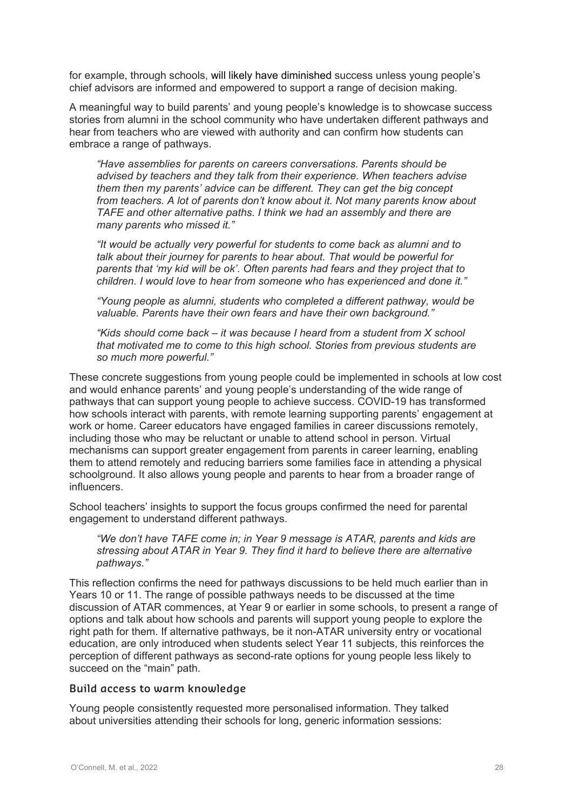for example, through schools, will likely have diminished success unless young people's chief advisors are informed and empowered to support a range of decision making.

A meaningful way to build parents' and young people's knowledge is to showcase success stories from alumni in the school community who have undertaken different pathways and hear from teachers who are viewed with authority and can confirm how students can embrace a range of pathways.

*"Have assemblies for parents on careers conversations. Parents should be advised by teachers and they talk from their experience. When teachers advise them then my parents' advice can be different. They can get the big concept from teachers. A lot of parents don't know about it. Not many parents know about TAFE and other alternative paths. I think we had an assembly and there are many parents who missed it."*

*"It would be actually very powerful for students to come back as alumni and to talk about their journey for parents to hear about. That would be powerful for parents that 'my kid will be ok'. Often parents had fears and they project that to children. I would love to hear from someone who has experienced and done it."*

*"Young people as alumni, students who completed a different pathway, would be valuable. Parents have their own fears and have their own background."*

*"Kids should come back – it was because I heard from a student from X school that motivated me to come to this high school. Stories from previous students are so much more powerful."* 

These concrete suggestions from young people could be implemented in schools at low cost and would enhance parents' and young people's understanding of the wide range of pathways that can support young people to achieve success. COVID-19 has transformed how schools interact with parents, with remote learning supporting parents' engagement at work or home. Career educators have engaged families in career discussions remotely, including those who may be reluctant or unable to attend school in person. Virtual mechanisms can support greater engagement from parents in career learning, enabling them to attend remotely and reducing barriers some families face in attending a physical schoolground. It also allows young people and parents to hear from a broader range of influencers.

School teachers' insights to support the focus groups confirmed the need for parental engagement to understand different pathways.

*"We don't have TAFE come in; in Year 9 message is ATAR, parents and kids are stressing about ATAR in Year 9. They find it hard to believe there are alternative pathways."*

This reflection confirms the need for pathways discussions to be held much earlier than in Years 10 or 11. The range of possible pathways needs to be discussed at the time discussion of ATAR commences, at Year 9 or earlier in some schools, to present a range of options and talk about how schools and parents will support young people to explore the right path for them. If alternative pathways, be it non-ATAR university entry or vocational education, are only introduced when students select Year 11 subjects, this reinforces the perception of different pathways as second-rate options for young people less likely to succeed on the "main" path.

#### **Build access to warm knowledge**

Young people consistently requested more personalised information. They talked about universities attending their schools for long, generic information sessions: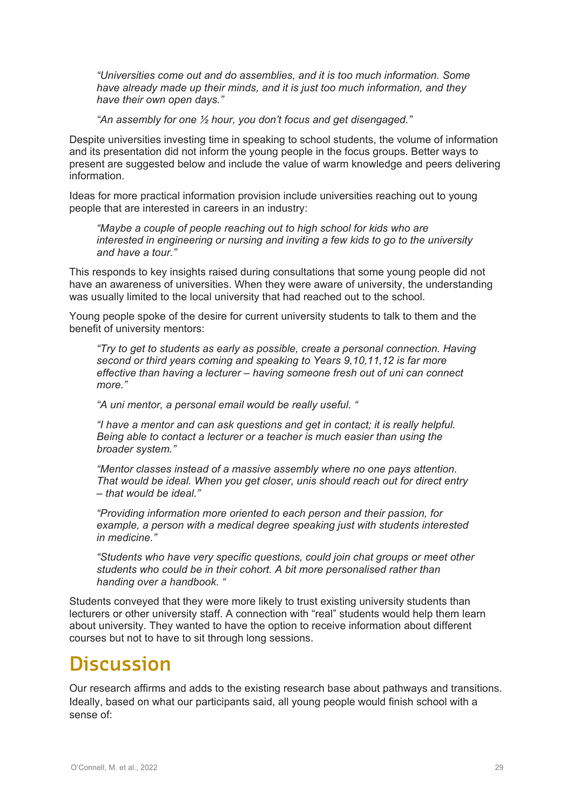*"Universities come out and do assemblies, and it is too much information. Some have already made up their minds, and it is just too much information, and they have their own open days."*

*"An assembly for one ½ hour, you don't focus and get disengaged."*

Despite universities investing time in speaking to school students, the volume of information and its presentation did not inform the young people in the focus groups. Better ways to present are suggested below and include the value of warm knowledge and peers delivering information.

Ideas for more practical information provision include universities reaching out to young people that are interested in careers in an industry:

*"Maybe a couple of people reaching out to high school for kids who are interested in engineering or nursing and inviting a few kids to go to the university and have a tour."*

This responds to key insights raised during consultations that some young people did not have an awareness of universities. When they were aware of university, the understanding was usually limited to the local university that had reached out to the school.

Young people spoke of the desire for current university students to talk to them and the benefit of university mentors:

*"Try to get to students as early as possible, create a personal connection. Having second or third years coming and speaking to Years 9,10,11,12 is far more effective than having a lecturer – having someone fresh out of uni can connect more."*

*"A uni mentor, a personal email would be really useful. "*

*"I have a mentor and can ask questions and get in contact; it is really helpful. Being able to contact a lecturer or a teacher is much easier than using the broader system."*

*"Mentor classes instead of a massive assembly where no one pays attention. That would be ideal. When you get closer, unis should reach out for direct entry – that would be ideal."*

*"Providing information more oriented to each person and their passion, for example, a person with a medical degree speaking just with students interested in medicine."*

*"Students who have very specific questions, could join chat groups or meet other students who could be in their cohort. A bit more personalised rather than handing over a handbook. "*

Students conveyed that they were more likely to trust existing university students than lecturers or other university staff. A connection with "real" students would help them learn about university. They wanted to have the option to receive information about different courses but not to have to sit through long sessions.

### **Discussion**

Our research affirms and adds to the existing research base about pathways and transitions. Ideally, based on what our participants said, all young people would finish school with a sense of: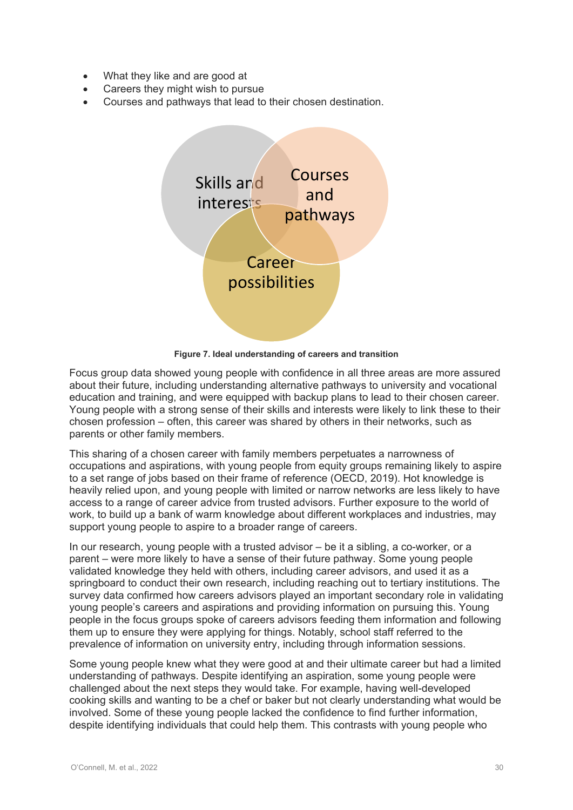- What they like and are good at
- Careers they might wish to pursue
- Courses and pathways that lead to their chosen destination.



**Figure 7. Ideal understanding of careers and transition** 

Focus group data showed young people with confidence in all three areas are more assured about their future, including understanding alternative pathways to university and vocational education and training, and were equipped with backup plans to lead to their chosen career. Young people with a strong sense of their skills and interests were likely to link these to their chosen profession – often, this career was shared by others in their networks, such as parents or other family members.

This sharing of a chosen career with family members perpetuates a narrowness of occupations and aspirations, with young people from equity groups remaining likely to aspire to a set range of jobs based on their frame of reference (OECD, 2019). Hot knowledge is heavily relied upon, and young people with limited or narrow networks are less likely to have access to a range of career advice from trusted advisors. Further exposure to the world of work, to build up a bank of warm knowledge about different workplaces and industries, may support young people to aspire to a broader range of careers.

In our research, young people with a trusted advisor – be it a sibling, a co-worker, or a parent – were more likely to have a sense of their future pathway. Some young people validated knowledge they held with others, including career advisors, and used it as a springboard to conduct their own research, including reaching out to tertiary institutions. The survey data confirmed how careers advisors played an important secondary role in validating young people's careers and aspirations and providing information on pursuing this. Young people in the focus groups spoke of careers advisors feeding them information and following them up to ensure they were applying for things. Notably, school staff referred to the prevalence of information on university entry, including through information sessions.

Some young people knew what they were good at and their ultimate career but had a limited understanding of pathways. Despite identifying an aspiration, some young people were challenged about the next steps they would take. For example, having well-developed cooking skills and wanting to be a chef or baker but not clearly understanding what would be involved. Some of these young people lacked the confidence to find further information, despite identifying individuals that could help them. This contrasts with young people who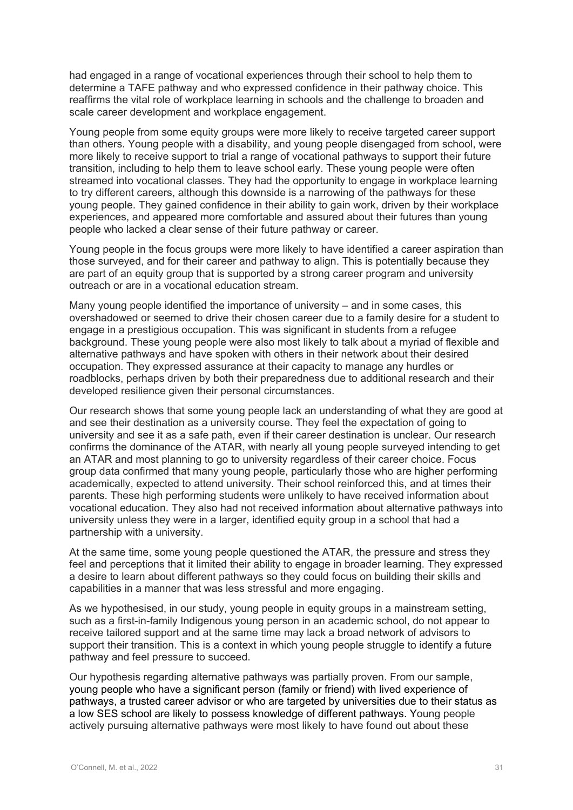had engaged in a range of vocational experiences through their school to help them to determine a TAFE pathway and who expressed confidence in their pathway choice. This reaffirms the vital role of workplace learning in schools and the challenge to broaden and scale career development and workplace engagement.

Young people from some equity groups were more likely to receive targeted career support than others. Young people with a disability, and young people disengaged from school, were more likely to receive support to trial a range of vocational pathways to support their future transition, including to help them to leave school early. These young people were often streamed into vocational classes. They had the opportunity to engage in workplace learning to try different careers, although this downside is a narrowing of the pathways for these young people. They gained confidence in their ability to gain work, driven by their workplace experiences, and appeared more comfortable and assured about their futures than young people who lacked a clear sense of their future pathway or career.

Young people in the focus groups were more likely to have identified a career aspiration than those surveyed, and for their career and pathway to align. This is potentially because they are part of an equity group that is supported by a strong career program and university outreach or are in a vocational education stream.

Many young people identified the importance of university – and in some cases, this overshadowed or seemed to drive their chosen career due to a family desire for a student to engage in a prestigious occupation. This was significant in students from a refugee background. These young people were also most likely to talk about a myriad of flexible and alternative pathways and have spoken with others in their network about their desired occupation. They expressed assurance at their capacity to manage any hurdles or roadblocks, perhaps driven by both their preparedness due to additional research and their developed resilience given their personal circumstances.

Our research shows that some young people lack an understanding of what they are good at and see their destination as a university course. They feel the expectation of going to university and see it as a safe path, even if their career destination is unclear. Our research confirms the dominance of the ATAR, with nearly all young people surveyed intending to get an ATAR and most planning to go to university regardless of their career choice. Focus group data confirmed that many young people, particularly those who are higher performing academically, expected to attend university. Their school reinforced this, and at times their parents. These high performing students were unlikely to have received information about vocational education. They also had not received information about alternative pathways into university unless they were in a larger, identified equity group in a school that had a partnership with a university.

At the same time, some young people questioned the ATAR, the pressure and stress they feel and perceptions that it limited their ability to engage in broader learning. They expressed a desire to learn about different pathways so they could focus on building their skills and capabilities in a manner that was less stressful and more engaging.

As we hypothesised, in our study, young people in equity groups in a mainstream setting, such as a first-in-family Indigenous young person in an academic school, do not appear to receive tailored support and at the same time may lack a broad network of advisors to support their transition. This is a context in which young people struggle to identify a future pathway and feel pressure to succeed.

Our hypothesis regarding alternative pathways was partially proven. From our sample, young people who have a significant person (family or friend) with lived experience of pathways, a trusted career advisor or who are targeted by universities due to their status as a low SES school are likely to possess knowledge of different pathways. Young people actively pursuing alternative pathways were most likely to have found out about these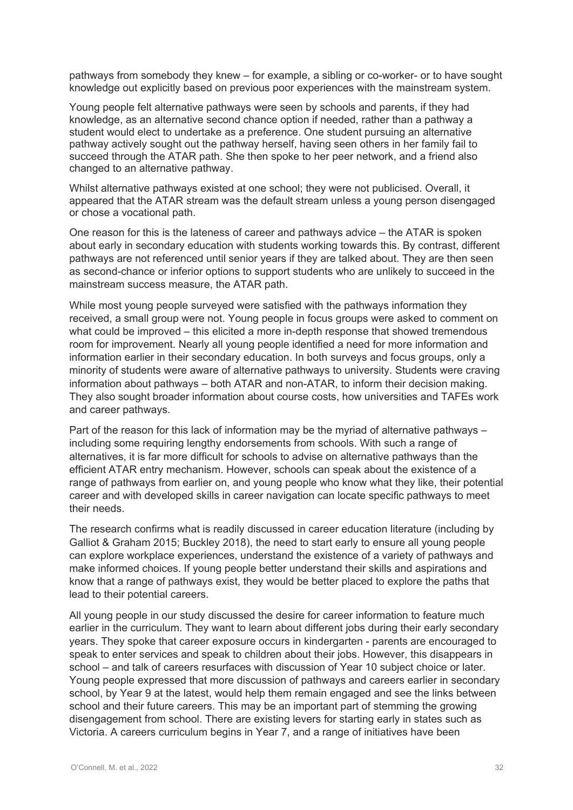pathways from somebody they knew – for example, a sibling or co-worker- or to have sought knowledge out explicitly based on previous poor experiences with the mainstream system.

Young people felt alternative pathways were seen by schools and parents, if they had knowledge, as an alternative second chance option if needed, rather than a pathway a student would elect to undertake as a preference. One student pursuing an alternative pathway actively sought out the pathway herself, having seen others in her family fail to succeed through the ATAR path. She then spoke to her peer network, and a friend also changed to an alternative pathway.

Whilst alternative pathways existed at one school; they were not publicised. Overall, it appeared that the ATAR stream was the default stream unless a young person disengaged or chose a vocational path.

One reason for this is the lateness of career and pathways advice – the ATAR is spoken about early in secondary education with students working towards this. By contrast, different pathways are not referenced until senior years if they are talked about. They are then seen as second-chance or inferior options to support students who are unlikely to succeed in the mainstream success measure, the ATAR path.

While most young people surveyed were satisfied with the pathways information they received, a small group were not. Young people in focus groups were asked to comment on what could be improved – this elicited a more in-depth response that showed tremendous room for improvement. Nearly all young people identified a need for more information and information earlier in their secondary education. In both surveys and focus groups, only a minority of students were aware of alternative pathways to university. Students were craving information about pathways – both ATAR and non-ATAR, to inform their decision making. They also sought broader information about course costs, how universities and TAFEs work and career pathways.

Part of the reason for this lack of information may be the myriad of alternative pathways – including some requiring lengthy endorsements from schools. With such a range of alternatives, it is far more difficult for schools to advise on alternative pathways than the efficient ATAR entry mechanism. However, schools can speak about the existence of a range of pathways from earlier on, and young people who know what they like, their potential career and with developed skills in career navigation can locate specific pathways to meet their needs.

The research confirms what is readily discussed in career education literature (including by Galliot & Graham 2015; Buckley 2018), the need to start early to ensure all young people can explore workplace experiences, understand the existence of a variety of pathways and make informed choices. If young people better understand their skills and aspirations and know that a range of pathways exist, they would be better placed to explore the paths that lead to their potential careers.

All young people in our study discussed the desire for career information to feature much earlier in the curriculum. They want to learn about different jobs during their early secondary years. They spoke that career exposure occurs in kindergarten - parents are encouraged to speak to enter services and speak to children about their jobs. However, this disappears in school – and talk of careers resurfaces with discussion of Year 10 subject choice or later. Young people expressed that more discussion of pathways and careers earlier in secondary school, by Year 9 at the latest, would help them remain engaged and see the links between school and their future careers. This may be an important part of stemming the growing disengagement from school. There are existing levers for starting early in states such as Victoria. A careers curriculum begins in Year 7, and a range of initiatives have been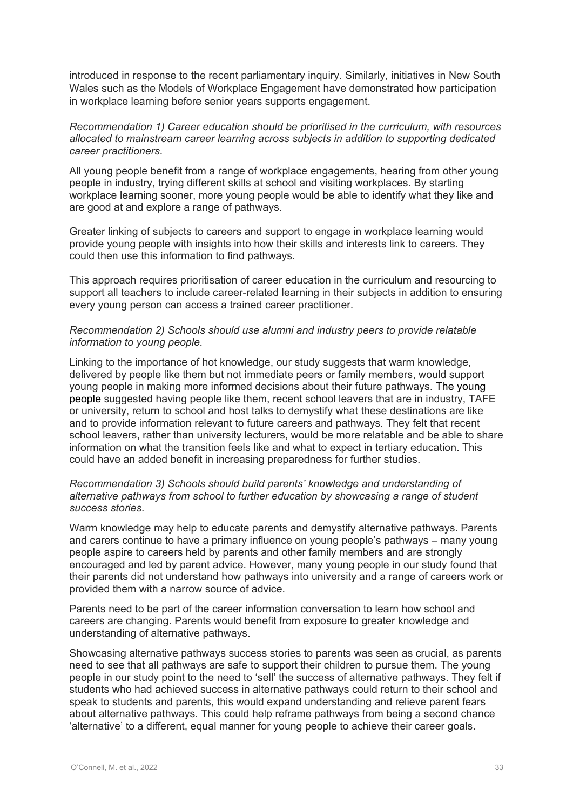introduced in response to the recent parliamentary inquiry. Similarly, initiatives in New South Wales such as the Models of Workplace Engagement have demonstrated how participation in workplace learning before senior years supports engagement.

#### *Recommendation 1) Career education should be prioritised in the curriculum, with resources allocated to mainstream career learning across subjects in addition to supporting dedicated career practitioners.*

All young people benefit from a range of workplace engagements, hearing from other young people in industry, trying different skills at school and visiting workplaces. By starting workplace learning sooner, more young people would be able to identify what they like and are good at and explore a range of pathways.

Greater linking of subjects to careers and support to engage in workplace learning would provide young people with insights into how their skills and interests link to careers. They could then use this information to find pathways.

This approach requires prioritisation of career education in the curriculum and resourcing to support all teachers to include career-related learning in their subjects in addition to ensuring every young person can access a trained career practitioner.

#### *Recommendation 2) Schools should use alumni and industry peers to provide relatable information to young people.*

Linking to the importance of hot knowledge, our study suggests that warm knowledge, delivered by people like them but not immediate peers or family members, would support young people in making more informed decisions about their future pathways. The young people suggested having people like them, recent school leavers that are in industry, TAFE or university, return to school and host talks to demystify what these destinations are like and to provide information relevant to future careers and pathways. They felt that recent school leavers, rather than university lecturers, would be more relatable and be able to share information on what the transition feels like and what to expect in tertiary education. This could have an added benefit in increasing preparedness for further studies.

#### *Recommendation 3) Schools should build parents' knowledge and understanding of alternative pathways from school to further education by showcasing a range of student success stories.*

Warm knowledge may help to educate parents and demystify alternative pathways. Parents and carers continue to have a primary influence on young people's pathways – many young people aspire to careers held by parents and other family members and are strongly encouraged and led by parent advice. However, many young people in our study found that their parents did not understand how pathways into university and a range of careers work or provided them with a narrow source of advice.

Parents need to be part of the career information conversation to learn how school and careers are changing. Parents would benefit from exposure to greater knowledge and understanding of alternative pathways.

Showcasing alternative pathways success stories to parents was seen as crucial, as parents need to see that all pathways are safe to support their children to pursue them. The young people in our study point to the need to 'sell' the success of alternative pathways. They felt if students who had achieved success in alternative pathways could return to their school and speak to students and parents, this would expand understanding and relieve parent fears about alternative pathways. This could help reframe pathways from being a second chance 'alternative' to a different, equal manner for young people to achieve their career goals.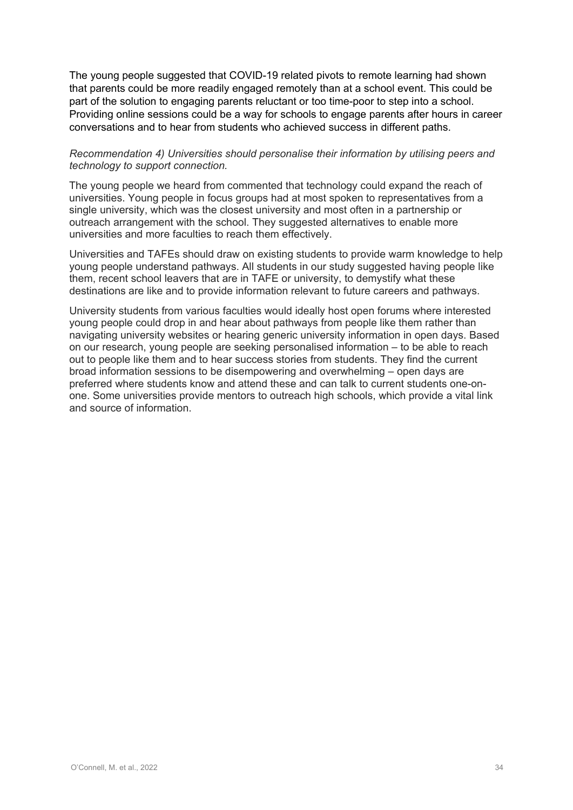The young people suggested that COVID-19 related pivots to remote learning had shown that parents could be more readily engaged remotely than at a school event. This could be part of the solution to engaging parents reluctant or too time-poor to step into a school. Providing online sessions could be a way for schools to engage parents after hours in career conversations and to hear from students who achieved success in different paths.

#### *Recommendation 4) Universities should personalise their information by utilising peers and technology to support connection.*

The young people we heard from commented that technology could expand the reach of universities. Young people in focus groups had at most spoken to representatives from a single university, which was the closest university and most often in a partnership or outreach arrangement with the school. They suggested alternatives to enable more universities and more faculties to reach them effectively.

Universities and TAFEs should draw on existing students to provide warm knowledge to help young people understand pathways. All students in our study suggested having people like them, recent school leavers that are in TAFE or university, to demystify what these destinations are like and to provide information relevant to future careers and pathways.

University students from various faculties would ideally host open forums where interested young people could drop in and hear about pathways from people like them rather than navigating university websites or hearing generic university information in open days. Based on our research, young people are seeking personalised information – to be able to reach out to people like them and to hear success stories from students. They find the current broad information sessions to be disempowering and overwhelming – open days are preferred where students know and attend these and can talk to current students one-onone. Some universities provide mentors to outreach high schools, which provide a vital link and source of information.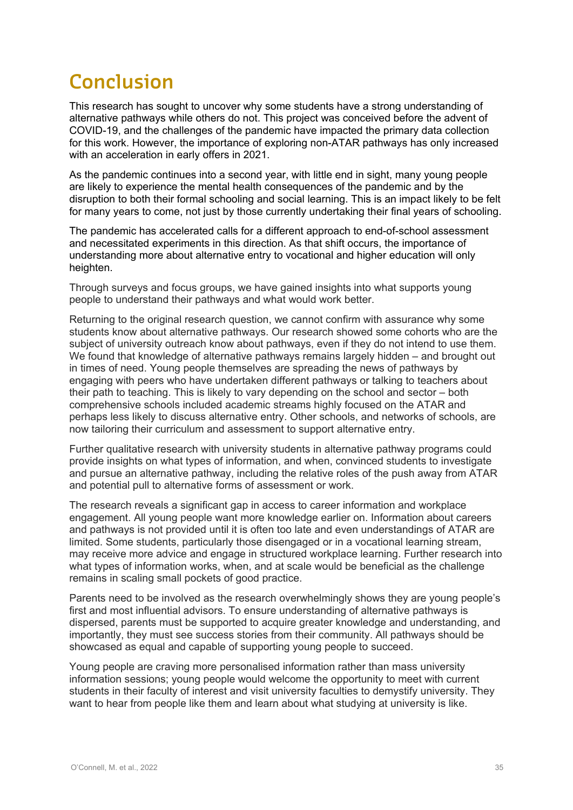### **Conclusion**

This research has sought to uncover why some students have a strong understanding of alternative pathways while others do not. This project was conceived before the advent of COVID-19, and the challenges of the pandemic have impacted the primary data collection for this work. However, the importance of exploring non-ATAR pathways has only increased with an acceleration in early offers in 2021.

As the pandemic continues into a second year, with little end in sight, many young people are likely to experience the mental health consequences of the pandemic and by the disruption to both their formal schooling and social learning. This is an impact likely to be felt for many years to come, not just by those currently undertaking their final years of schooling.

The pandemic has accelerated calls for a different approach to end-of-school assessment and necessitated experiments in this direction. As that shift occurs, the importance of understanding more about alternative entry to vocational and higher education will only heighten.

Through surveys and focus groups, we have gained insights into what supports young people to understand their pathways and what would work better.

Returning to the original research question, we cannot confirm with assurance why some students know about alternative pathways. Our research showed some cohorts who are the subject of university outreach know about pathways, even if they do not intend to use them. We found that knowledge of alternative pathways remains largely hidden – and brought out in times of need. Young people themselves are spreading the news of pathways by engaging with peers who have undertaken different pathways or talking to teachers about their path to teaching. This is likely to vary depending on the school and sector – both comprehensive schools included academic streams highly focused on the ATAR and perhaps less likely to discuss alternative entry. Other schools, and networks of schools, are now tailoring their curriculum and assessment to support alternative entry.

Further qualitative research with university students in alternative pathway programs could provide insights on what types of information, and when, convinced students to investigate and pursue an alternative pathway, including the relative roles of the push away from ATAR and potential pull to alternative forms of assessment or work.

The research reveals a significant gap in access to career information and workplace engagement. All young people want more knowledge earlier on. Information about careers and pathways is not provided until it is often too late and even understandings of ATAR are limited. Some students, particularly those disengaged or in a vocational learning stream, may receive more advice and engage in structured workplace learning. Further research into what types of information works, when, and at scale would be beneficial as the challenge remains in scaling small pockets of good practice.

Parents need to be involved as the research overwhelmingly shows they are young people's first and most influential advisors. To ensure understanding of alternative pathways is dispersed, parents must be supported to acquire greater knowledge and understanding, and importantly, they must see success stories from their community. All pathways should be showcased as equal and capable of supporting young people to succeed.

Young people are craving more personalised information rather than mass university information sessions; young people would welcome the opportunity to meet with current students in their faculty of interest and visit university faculties to demystify university. They want to hear from people like them and learn about what studying at university is like.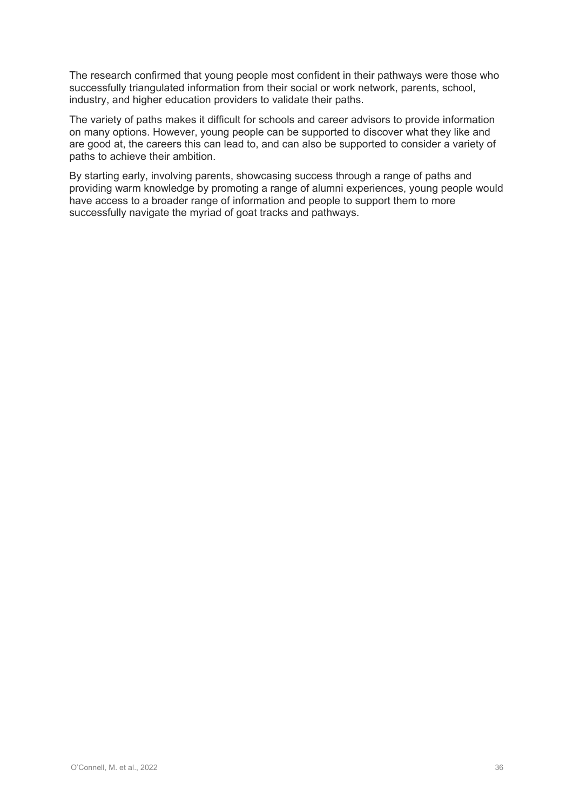The research confirmed that young people most confident in their pathways were those who successfully triangulated information from their social or work network, parents, school, industry, and higher education providers to validate their paths.

The variety of paths makes it difficult for schools and career advisors to provide information on many options. However, young people can be supported to discover what they like and are good at, the careers this can lead to, and can also be supported to consider a variety of paths to achieve their ambition.

By starting early, involving parents, showcasing success through a range of paths and providing warm knowledge by promoting a range of alumni experiences, young people would have access to a broader range of information and people to support them to more successfully navigate the myriad of goat tracks and pathways.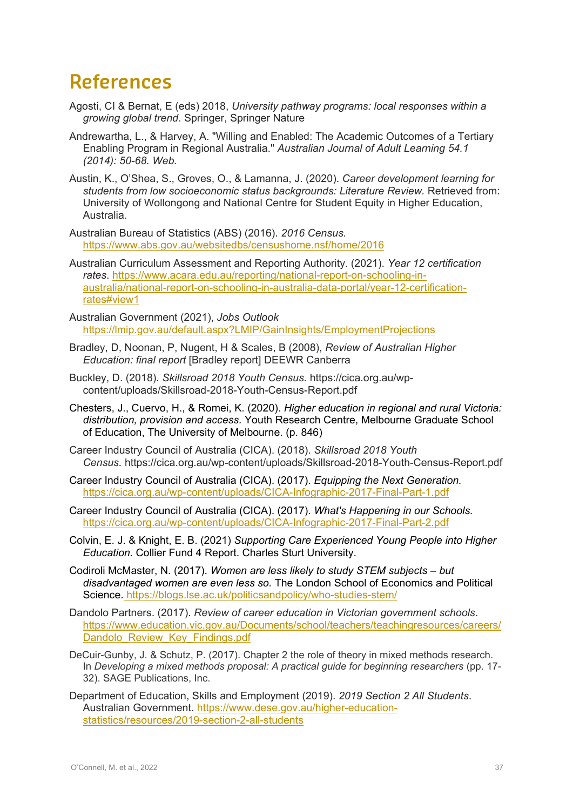### **References**

- Agosti, CI & Bernat, E (eds) 2018, *University pathway programs: local responses within a growing global trend*. Springer, Springer Nature
- Andrewartha, L., & Harvey, A. "Willing and Enabled: The Academic Outcomes of a Tertiary Enabling Program in Regional Australia." *Australian Journal of Adult Learning 54.1 (2014): 50-68. Web.*
- Austin, K., O'Shea, S., Groves, O., & Lamanna, J. (2020). *Career development learning for*  students from low socioeconomic status backgrounds: Literature Review. Retrieved from: University of Wollongong and National Centre for Student Equity in Higher Education, Australia.
- Australian Bureau of Statistics (ABS) (2016). *2016 Census.*  <https://www.abs.gov.au/websitedbs/censushome.nsf/home/2016>
- Australian Curriculum Assessment and Reporting Authority. (2021). *Year 12 certification rates*. [https://www.acara.edu.au/reporting/national-report-on-schooling-in](https://www.acara.edu.au/reporting/national-report-on-schooling-in-australia/national-report-on-schooling-in-australia-data-portal/year-12-certification-rates#view1)[australia/national-report-on-schooling-in-australia-data-portal/year-12-certification](https://www.acara.edu.au/reporting/national-report-on-schooling-in-australia/national-report-on-schooling-in-australia-data-portal/year-12-certification-rates#view1)[rates#view1](https://www.acara.edu.au/reporting/national-report-on-schooling-in-australia/national-report-on-schooling-in-australia-data-portal/year-12-certification-rates#view1)
- Australian Government (2021), *Jobs Outlook*  <https://lmip.gov.au/default.aspx?LMIP/GainInsights/EmploymentProjections>
- Bradley, D, Noonan, P, Nugent, H & Scales, B (2008), *Review of Australian Higher Education: final report* [Bradley report] DEEWR Canberra
- Buckley, D. (2018). *Skillsroad 2018 Youth Census.* https://cica.org.au/wpcontent/uploads/Skillsroad-2018-Youth-Census-Report.pdf
- Chesters, J., Cuervo, H., & Romei, K. (2020). *Higher education in regional and rural Victoria: distribution, provision and access.* Youth Research Centre, Melbourne Graduate School of Education, The University of Melbourne. (p. 846)
- Career Industry Council of Australia (CICA). (2018). *Skillsroad 2018 Youth Census.* <https://cica.org.au/wp-content/uploads/Skillsroad-2018-Youth-Census-Report.pdf>
- Career Industry Council of Australia (CICA). (2017). *Equipping the Next Generation.* <https://cica.org.au/wp-content/uploads/CICA-Infographic-2017-Final-Part-1.pdf>
- Career Industry Council of Australia (CICA). (2017). *What's Happening in our Schools.*  <https://cica.org.au/wp-content/uploads/CICA-Infographic-2017-Final-Part-2.pdf>
- Colvin, E. J. & Knight, E. B. (2021) *Supporting Care Experienced Young People into Higher Education.* Collier Fund 4 Report. Charles Sturt University.
- Codiroli McMaster, N. (2017). *Women are less likely to study STEM subjects – but disadvantaged women are even less so.* The London School of Economics and Political Science. <https://blogs.lse.ac.uk/politicsandpolicy/who-studies-stem/>
- Dandolo Partners. (2017). *Review of career education in Victorian government schools*. [https://www.education.vic.gov.au/Documents/school/teachers/teachingresources/careers/](https://www.education.vic.gov.au/Documents/school/teachers/teachingresources/careers/Dandolo_Review_Key_Findings.pdf) [Dandolo\\_Review\\_Key\\_Findings.pdf](https://www.education.vic.gov.au/Documents/school/teachers/teachingresources/careers/Dandolo_Review_Key_Findings.pdf)
- DeCuir-Gunby, J. & Schutz, P. (2017). Chapter 2 the role of theory in mixed methods research. In *Developing a mixed methods proposal: A practical guide for beginning researchers* (pp. 17- 32). SAGE Publications, Inc.
- Department of Education, Skills and Employment (2019). *2019 Section 2 All Students*. Australian Government. [https://www.dese.gov.au/higher-education](https://www.dese.gov.au/higher-education-statistics/resources/2019-section-2-all-students)[statistics/resources/2019-section-2-all-students](https://www.dese.gov.au/higher-education-statistics/resources/2019-section-2-all-students)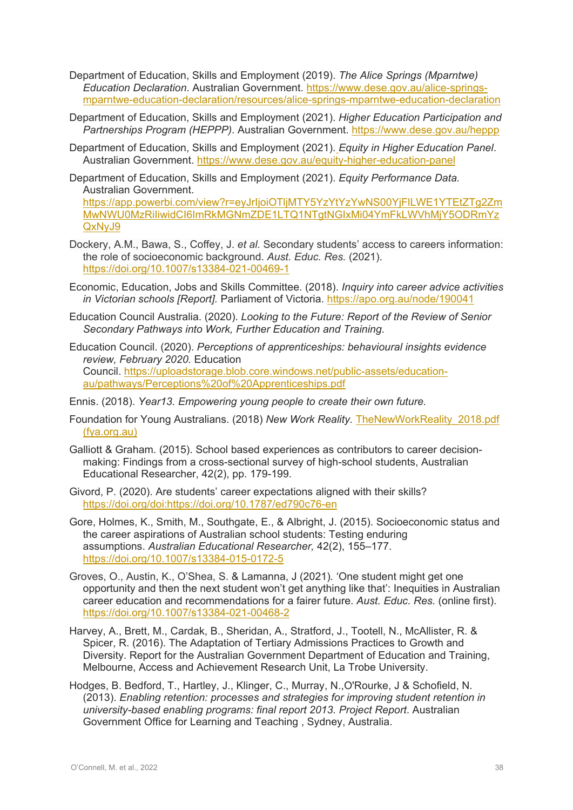- Department of Education, Skills and Employment (2019). *The Alice Springs (Mparntwe) Education Declaration*. Australian Government. [https://www.dese.gov.au/alice-springs](https://www.dese.gov.au/alice-springs-mparntwe-education-declaration/resources/alice-springs-mparntwe-education-declaration)[mparntwe-education-declaration/resources/alice-springs-mparntwe-education-declaration](https://www.dese.gov.au/alice-springs-mparntwe-education-declaration/resources/alice-springs-mparntwe-education-declaration)
- Department of Education, Skills and Employment (2021). *Higher Education Participation and Partnerships Program (HEPPP)*. Australian Government.<https://www.dese.gov.au/heppp>
- Department of Education, Skills and Employment (2021). *Equity in Higher Education Panel*. Australian Government.<https://www.dese.gov.au/equity-higher-education-panel>
- Department of Education, Skills and Employment (2021). *Equity Performance Data.*  Australian Government.

[https://app.powerbi.com/view?r=eyJrIjoiOTljMTY5YzYtYzYwNS00YjFlLWE1YTEtZTg2Zm](https://app.powerbi.com/view?r=eyJrIjoiOTljMTY5YzYtYzYwNS00YjFlLWE1YTEtZTg2ZmMwNWU0MzRiIiwidCI6ImRkMGNmZDE1LTQ1NTgtNGIxMi04YmFkLWVhMjY5ODRmYzQxNyJ9) [MwNWU0MzRiIiwidCI6ImRkMGNmZDE1LTQ1NTgtNGIxMi04YmFkLWVhMjY5ODRmYz](https://app.powerbi.com/view?r=eyJrIjoiOTljMTY5YzYtYzYwNS00YjFlLWE1YTEtZTg2ZmMwNWU0MzRiIiwidCI6ImRkMGNmZDE1LTQ1NTgtNGIxMi04YmFkLWVhMjY5ODRmYzQxNyJ9) [QxNyJ9](https://app.powerbi.com/view?r=eyJrIjoiOTljMTY5YzYtYzYwNS00YjFlLWE1YTEtZTg2ZmMwNWU0MzRiIiwidCI6ImRkMGNmZDE1LTQ1NTgtNGIxMi04YmFkLWVhMjY5ODRmYzQxNyJ9)

- Dockery, A.M., Bawa, S., Coffey, J. *et al.* Secondary students' access to careers information: the role of socioeconomic background. *Aust. Educ. Res.* (2021). <https://doi.org/10.1007/s13384-021-00469-1>
- Economic, Education, Jobs and Skills Committee. (2018). *Inquiry into career advice activities in Victorian schools [Report].* Parliament of Victoria.<https://apo.org.au/node/190041>
- Education Council Australia. (2020). *Looking to the Future: Report of the Review of Senior Secondary Pathways into Work, Further Education and Training*.
- Education Council. (2020). *Perceptions of apprenticeships: behavioural insights evidence review, February 2020.* Education Council. [https://uploadstorage.blob.core.windows.net/public-assets/education](https://uploadstorage.blob.core.windows.net/public-assets/education-au/pathways/Perceptions%20of%20Apprenticeships.pdf)[au/pathways/Perceptions%20of%20Apprenticeships.pdf](https://uploadstorage.blob.core.windows.net/public-assets/education-au/pathways/Perceptions%20of%20Apprenticeships.pdf)
- Ennis. (2018). *Year13. Empowering young people to create their own future.*
- Foundation for Young Australians. (2018) *New Work Reality.* [TheNewWorkReality\\_2018.pdf](https://www.fya.org.au/app/uploads/2021/09/TheNewWorkReality_2018.pdf)  [\(fya.org.au\)](https://www.fya.org.au/app/uploads/2021/09/TheNewWorkReality_2018.pdf)
- Galliott & Graham. (2015). School based experiences as contributors to career decisionmaking: Findings from a cross-sectional survey of high-school students, Australian Educational Researcher, 42(2), pp. 179-199.
- Givord, P. (2020). Are students' career expectations aligned with their skills? [https://doi.org/doi:https://doi.org/10.1787/ed790c76-en](https://doi.org/doi:https:/doi.org/10.1787/ed790c76-en)
- Gore, Holmes, K., Smith, M., Southgate, E., & Albright, J. (2015). Socioeconomic status and the career aspirations of Australian school students: Testing enduring assumptions. *Australian Educational Researcher,* 42(2), 155–177. <https://doi.org/10.1007/s13384-015-0172-5>
- Groves, O., Austin, K., O'Shea, S. & Lamanna, J (2021)*.* 'One student might get one opportunity and then the next student won't get anything like that': Inequities in Australian career education and recommendations for a fairer future. *Aust. Educ. Res.* (online first). <https://doi.org/10.1007/s13384-021-00468-2>
- Harvey, A., Brett, M., Cardak, B., Sheridan, A., Stratford, J., Tootell, N., McAllister, R. & Spicer, R. (2016). The Adaptation of Tertiary Admissions Practices to Growth and Diversity. Report for the Australian Government Department of Education and Training, Melbourne, Access and Achievement Research Unit, La Trobe University.
- Hodges, B. Bedford, T., Hartley, J., Klinger, C., Murray, N.,O'Rourke, J & Schofield, N. (2013). *Enabling retention: processes and strategies for improving student retention in university-based enabling programs: final report 2013. Project Report*. Australian Government Office for Learning and Teaching , Sydney, Australia.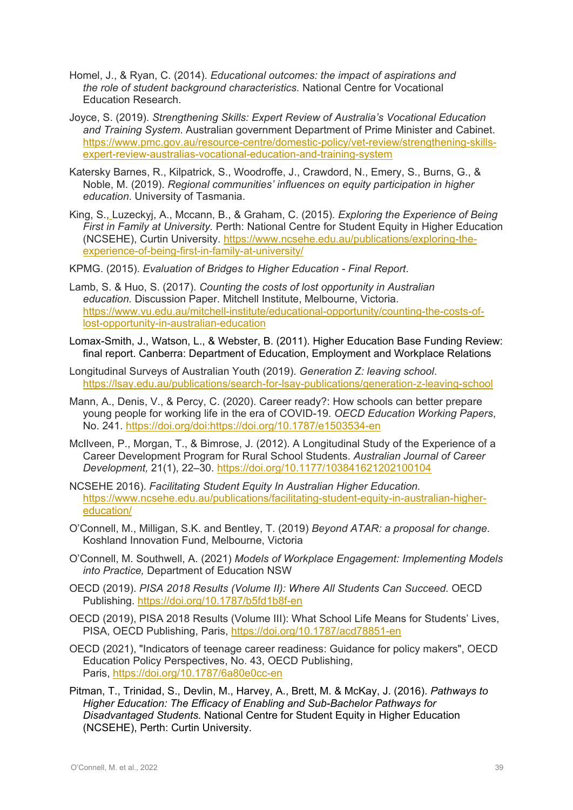- Homel, J., & Ryan, C. (2014). *Educational outcomes: the impact of aspirations and the role of student background characteristics.* National Centre for Vocational Education Research.
- Joyce, S. (2019). *Strengthening Skills: Expert Review of Australia's Vocational Education and Training System*. Australian government Department of Prime Minister and Cabinet. [https://www.pmc.gov.au/resource-centre/domestic-policy/vet-review/strengthening-skills](https://www.pmc.gov.au/resource-centre/domestic-policy/vet-review/strengthening-skills-expert-review-australias-vocational-education-and-training-system)[expert-review-australias-vocational-education-and-training-system](https://www.pmc.gov.au/resource-centre/domestic-policy/vet-review/strengthening-skills-expert-review-australias-vocational-education-and-training-system)
- Katersky Barnes, R., Kilpatrick, S., Woodroffe, J., Crawdord, N., Emery, S., Burns, G., & Noble, M. (2019). *Regional communities' influences on equity participation in higher education*. University of Tasmania.
- King, S., Luzeckyj, A., Mccann, B., & Graham, C. (2015)*. Exploring the Experience of Being First in Family at University.* Perth: National Centre for Student Equity in Higher Education (NCSEHE), Curtin University. [https://www.ncsehe.edu.au/publications/exploring-the](https://www.ncsehe.edu.au/publications/exploring-the-experience-of-being-first-in-family-at-university/)[experience-of-being-first-in-family-at-university/](https://www.ncsehe.edu.au/publications/exploring-the-experience-of-being-first-in-family-at-university/)
- KPMG. (2015). *Evaluation of Bridges to Higher Education - Final Report*.
- Lamb, S. & Huo, S. (2017). *Counting the costs of lost opportunity in Australian education.* Discussion Paper. Mitchell Institute, Melbourne, Victoria. [https://www.vu.edu.au/mitchell-institute/educational-opportunity/counting-the-costs-of](https://www.vu.edu.au/mitchell-institute/educational-opportunity/counting-the-costs-of-lost-opportunity-in-australian-education)[lost-opportunity-in-australian-education](https://www.vu.edu.au/mitchell-institute/educational-opportunity/counting-the-costs-of-lost-opportunity-in-australian-education)
- Lomax-Smith, J., Watson, L., & Webster, B. (2011). Higher Education Base Funding Review: final report. Canberra: Department of Education, Employment and Workplace Relations
- Longitudinal Surveys of Australian Youth (2019). *Generation Z: leaving school*. <https://lsay.edu.au/publications/search-for-lsay-publications/generation-z-leaving-school>
- Mann, A., Denis, V., & Percy, C. (2020). Career ready?: How schools can better prepare young people for working life in the era of COVID-19. *OECD Education Working Papers*, No. 241. [https://doi.org/doi:https://doi.org/10.1787/e1503534-en](https://doi.org/doi:https:/doi.org/10.1787/e1503534-en)
- McIlveen, P., Morgan, T., & Bimrose, J. (2012). A Longitudinal Study of the Experience of a Career Development Program for Rural School Students. *Australian Journal of Career Development,* 21(1), 22–30.<https://doi.org/10.1177/103841621202100104>
- NCSEHE 2016). *Facilitating Student Equity In Australian Higher Education.*  [https://www.ncsehe.edu.au/publications/facilitating-student-equity-in-australian-higher](https://www.ncsehe.edu.au/publications/facilitating-student-equity-in-australian-higher-education/)[education/](https://www.ncsehe.edu.au/publications/facilitating-student-equity-in-australian-higher-education/)
- O'Connell, M., Milligan, S.K. and Bentley, T. (2019) *Beyond ATAR: a proposal for change*. Koshland Innovation Fund, Melbourne, Victoria
- O'Connell, M. Southwell, A. (2021) *Models of Workplace Engagement: Implementing Models into Practice,* Department of Education NSW
- OECD (2019). *PISA 2018 Results (Volume II): Where All Students Can Succeed.* OECD Publishing.<https://doi.org/10.1787/b5fd1b8f-en>
- OECD (2019), PISA 2018 Results (Volume III): What School Life Means for Students' Lives, PISA, OECD Publishing, Paris, <https://doi.org/10.1787/acd78851-en>
- OECD (2021), "Indicators of teenage career readiness: Guidance for policy makers", OECD Education Policy Perspectives, No. 43, OECD Publishing, Paris, <https://doi.org/10.1787/6a80e0cc-en>
- Pitman, T., Trinidad, S., Devlin, M., Harvey, A., Brett, M. & McKay, J. (2016). *Pathways to Higher Education: The Efficacy of Enabling and Sub-Bachelor Pathways for Disadvantaged Students.* National Centre for Student Equity in Higher Education (NCSEHE), Perth: Curtin University.